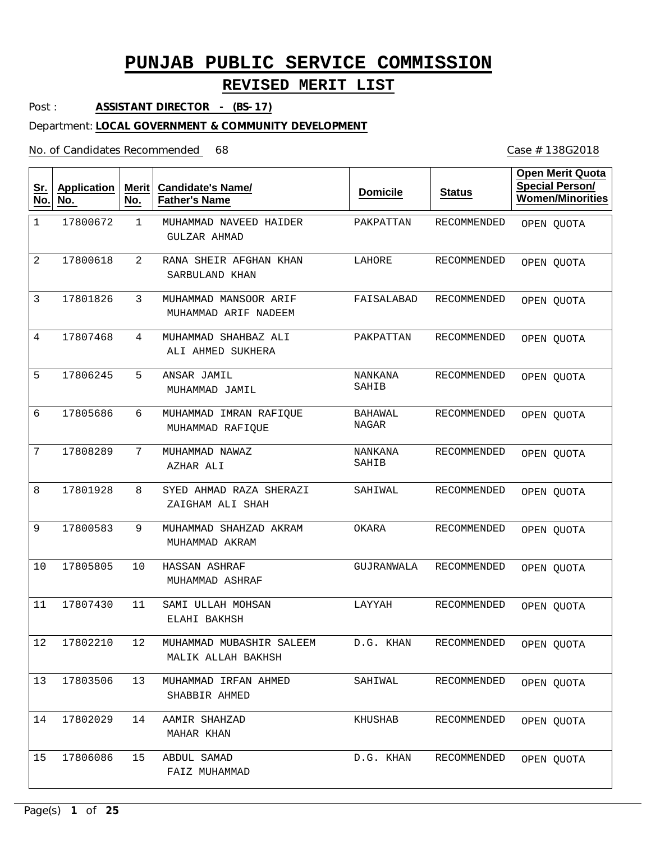## **REVISED MERIT LIST**

Post : **ASSISTANT DIRECTOR - (BS-17)**

#### Department: **LOCAL GOVERNMENT & COMMUNITY DEVELOPMENT**

No. of Candidates Recommended

| <u>Sr.</u><br>No. | <b>Application</b><br>No. | <b>Merit</b><br>No. | <b>Candidate's Name/</b><br><b>Father's Name</b> | <b>Domicile</b>         | <b>Status</b>      | <b>Open Merit Quota</b><br><b>Special Person/</b><br><b>Women/Minorities</b> |
|-------------------|---------------------------|---------------------|--------------------------------------------------|-------------------------|--------------------|------------------------------------------------------------------------------|
| $\mathbf 1$       | 17800672                  | 1                   | MUHAMMAD NAVEED HAIDER<br><b>GULZAR AHMAD</b>    | PAKPATTAN               | RECOMMENDED        | OPEN QUOTA                                                                   |
| 2                 | 17800618                  | $\overline{2}$      | RANA SHEIR AFGHAN KHAN<br>SARBULAND KHAN         | LAHORE                  | RECOMMENDED        | OPEN QUOTA                                                                   |
| 3                 | 17801826                  | 3                   | MUHAMMAD MANSOOR ARIF<br>MUHAMMAD ARIF NADEEM    | FAISALABAD              | RECOMMENDED        | OPEN QUOTA                                                                   |
| 4                 | 17807468                  | 4                   | MUHAMMAD SHAHBAZ ALI<br>ALI AHMED SUKHERA        | PAKPATTAN               | RECOMMENDED        | OPEN QUOTA                                                                   |
| 5                 | 17806245                  | 5                   | ANSAR JAMIL<br>MUHAMMAD JAMIL                    | <b>NANKANA</b><br>SAHIB | RECOMMENDED        | OPEN QUOTA                                                                   |
| 6                 | 17805686                  | 6                   | MUHAMMAD IMRAN RAFIQUE<br>MUHAMMAD RAFIQUE       | BAHAWAL<br>NAGAR        | RECOMMENDED        | OPEN QUOTA                                                                   |
| 7                 | 17808289                  | 7                   | MUHAMMAD NAWAZ<br>AZHAR ALI                      | NANKANA<br>SAHIB        | <b>RECOMMENDED</b> | OPEN QUOTA                                                                   |
| 8                 | 17801928                  | 8                   | SYED AHMAD RAZA SHERAZI<br>ZAIGHAM ALI SHAH      | SAHIWAL                 | <b>RECOMMENDED</b> | OPEN QUOTA                                                                   |
| 9                 | 17800583                  | 9                   | MUHAMMAD SHAHZAD AKRAM<br>MUHAMMAD AKRAM         | OKARA                   | RECOMMENDED        | OPEN QUOTA                                                                   |
| 10                | 17805805                  | 10                  | HASSAN ASHRAF<br>MUHAMMAD ASHRAF                 | GUJRANWALA              | RECOMMENDED        | OPEN QUOTA                                                                   |
| 11                | 17807430                  | 11                  | SAMI ULLAH MOHSAN<br>ELAHI BAKHSH                | LAYYAH                  | RECOMMENDED        | OPEN QUOTA                                                                   |
| 12                | 17802210                  | 12                  | MUHAMMAD MUBASHIR SALEEM<br>MALIK ALLAH BAKHSH   | D.G. KHAN               | RECOMMENDED        | OPEN QUOTA                                                                   |
| 13                | 17803506                  | 13                  | MUHAMMAD IRFAN AHMED<br>SHABBIR AHMED            | SAHIWAL                 | RECOMMENDED        | OPEN QUOTA                                                                   |
| 14                | 17802029                  | 14                  | AAMIR SHAHZAD<br>MAHAR KHAN                      | KHUSHAB                 | RECOMMENDED        | OPEN QUOTA                                                                   |
| 15                | 17806086                  | 15                  | ABDUL SAMAD<br>FAIZ MUHAMMAD                     | D.G. KHAN               | RECOMMENDED        | OPEN QUOTA                                                                   |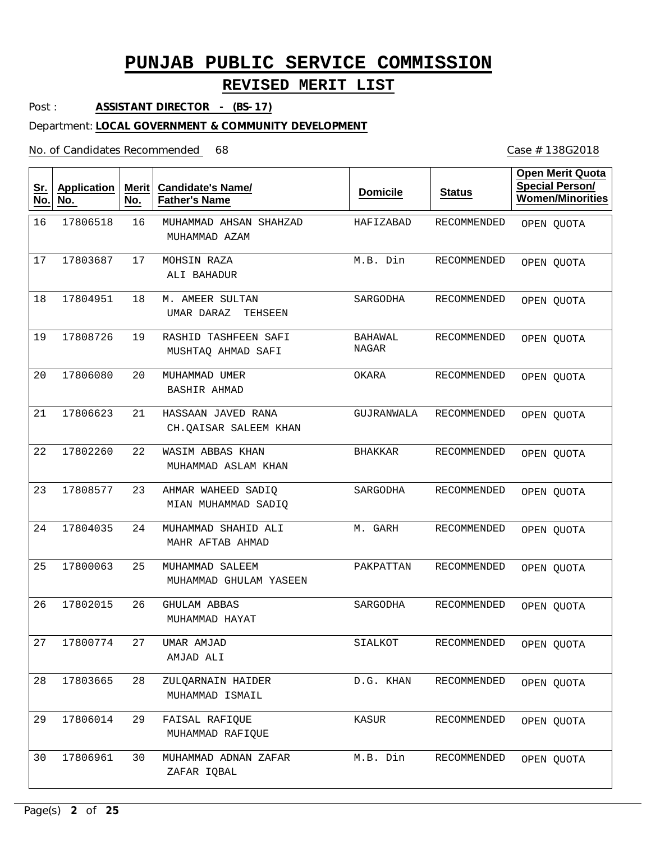## **REVISED MERIT LIST**

Post : **ASSISTANT DIRECTOR - (BS-17)**

#### Department: **LOCAL GOVERNMENT & COMMUNITY DEVELOPMENT**

#### No. of Candidates Recommended

| <u>Sr.</u><br>No. | <b>Application</b><br>No. | Merit<br>No. | <b>Candidate's Name/</b><br><b>Father's Name</b> | <b>Domicile</b>         | <b>Status</b> | <b>Open Merit Quota</b><br><b>Special Person/</b><br><b>Women/Minorities</b> |
|-------------------|---------------------------|--------------|--------------------------------------------------|-------------------------|---------------|------------------------------------------------------------------------------|
| 16                | 17806518                  | 16           | MUHAMMAD AHSAN SHAHZAD<br>MUHAMMAD AZAM          | HAFIZABAD               | RECOMMENDED   | OPEN QUOTA                                                                   |
| 17                | 17803687                  | 17           | MOHSIN RAZA<br>ALI BAHADUR                       | M.B. Din                | RECOMMENDED   | OPEN QUOTA                                                                   |
| 18                | 17804951                  | 18           | M. AMEER SULTAN<br>UMAR DARAZ<br>TEHSEEN         | SARGODHA                | RECOMMENDED   | OPEN QUOTA                                                                   |
| 19                | 17808726                  | 19           | RASHID TASHFEEN SAFI<br>MUSHTAQ AHMAD SAFI       | BAHAWAL<br><b>NAGAR</b> | RECOMMENDED   | OPEN QUOTA                                                                   |
| 20                | 17806080                  | 20           | MUHAMMAD UMER<br><b>BASHIR AHMAD</b>             | OKARA                   | RECOMMENDED   | OPEN QUOTA                                                                   |
| 21                | 17806623                  | 21           | HASSAAN JAVED RANA<br>CH.OAISAR SALEEM KHAN      | GUJRANWALA              | RECOMMENDED   | OPEN QUOTA                                                                   |
| 22                | 17802260                  | 22           | WASIM ABBAS KHAN<br>MUHAMMAD ASLAM KHAN          | BHAKKAR                 | RECOMMENDED   | OPEN QUOTA                                                                   |
| 23                | 17808577                  | 23           | AHMAR WAHEED SADIQ<br>MIAN MUHAMMAD SADIQ        | SARGODHA                | RECOMMENDED   | OPEN QUOTA                                                                   |
| 24                | 17804035                  | 24           | MUHAMMAD SHAHID ALI<br>MAHR AFTAB AHMAD          | M. GARH                 | RECOMMENDED   | OPEN QUOTA                                                                   |
| 25                | 17800063                  | 25           | MUHAMMAD SALEEM<br>MUHAMMAD GHULAM YASEEN        | PAKPATTAN               | RECOMMENDED   | OPEN QUOTA                                                                   |
| 26                | 17802015                  | 26           | <b>GHULAM ABBAS</b><br>MUHAMMAD HAYAT            | SARGODHA                | RECOMMENDED   | OPEN QUOTA                                                                   |
| 27                | 17800774                  | 27           | UMAR AMJAD<br>AMJAD ALI                          | SIALKOT                 | RECOMMENDED   | OPEN QUOTA                                                                   |
| 28                | 17803665                  | 28           | ZULOARNAIN HAIDER<br>MUHAMMAD ISMAIL             | D.G. KHAN               | RECOMMENDED   | OPEN QUOTA                                                                   |
| 29                | 17806014                  | 29           | FAISAL RAFIQUE<br>MUHAMMAD RAFIQUE               | KASUR                   | RECOMMENDED   | OPEN OUOTA                                                                   |
| 30                | 17806961                  | 30           | MUHAMMAD ADNAN ZAFAR<br>ZAFAR IQBAL              | M.B. Din                | RECOMMENDED   | OPEN QUOTA                                                                   |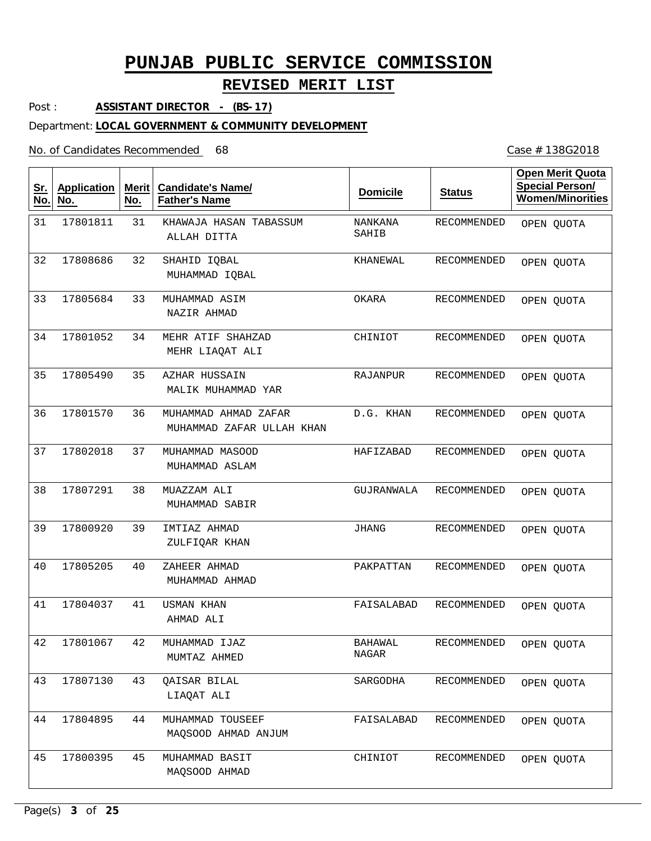## **REVISED MERIT LIST**

Post : **ASSISTANT DIRECTOR - (BS-17)**

#### Department: **LOCAL GOVERNMENT & COMMUNITY DEVELOPMENT**

No. of Candidates Recommended

| <u>Sr.</u><br>No. | <b>Application</b><br>No. | <b>Merit</b><br>No. | <b>Candidate's Name/</b><br><b>Father's Name</b>  | <b>Domicile</b>         | <b>Status</b>      | <b>Open Merit Quota</b><br><b>Special Person/</b><br><b>Women/Minorities</b> |
|-------------------|---------------------------|---------------------|---------------------------------------------------|-------------------------|--------------------|------------------------------------------------------------------------------|
| 31                | 17801811                  | 31                  | KHAWAJA HASAN TABASSUM<br>ALLAH DITTA             | NANKANA<br>SAHIB        | RECOMMENDED        | OPEN QUOTA                                                                   |
| 32                | 17808686                  | 32                  | SHAHID IQBAL<br>MUHAMMAD IQBAL                    | KHANEWAL                | RECOMMENDED        | OPEN QUOTA                                                                   |
| 33                | 17805684                  | 33                  | MUHAMMAD ASIM<br>NAZIR AHMAD                      | OKARA                   | RECOMMENDED        | OPEN QUOTA                                                                   |
| 34                | 17801052                  | 34                  | MEHR ATIF SHAHZAD<br>MEHR LIAQAT ALI              | CHINIOT                 | RECOMMENDED        | OPEN QUOTA                                                                   |
| 35                | 17805490                  | 35                  | AZHAR HUSSAIN<br>MALIK MUHAMMAD YAR               | RAJANPUR                | <b>RECOMMENDED</b> | OPEN QUOTA                                                                   |
| 36                | 17801570                  | 36                  | MUHAMMAD AHMAD ZAFAR<br>MUHAMMAD ZAFAR ULLAH KHAN | D.G. KHAN               | <b>RECOMMENDED</b> | OPEN QUOTA                                                                   |
| 37                | 17802018                  | 37                  | MUHAMMAD MASOOD<br>MUHAMMAD ASLAM                 | HAFIZABAD               | <b>RECOMMENDED</b> | OPEN QUOTA                                                                   |
| 38                | 17807291                  | 38                  | MUAZZAM ALI<br>MUHAMMAD SABIR                     | GUJRANWALA              | <b>RECOMMENDED</b> | OPEN QUOTA                                                                   |
| 39                | 17800920                  | 39                  | IMTIAZ AHMAD<br>ZULFIQAR KHAN                     | <b>JHANG</b>            | RECOMMENDED        | OPEN QUOTA                                                                   |
| 40                | 17805205                  | 40                  | ZAHEER AHMAD<br>MUHAMMAD AHMAD                    | PAKPATTAN               | <b>RECOMMENDED</b> | OPEN QUOTA                                                                   |
| 41                | 17804037                  | 41                  | USMAN KHAN<br>AHMAD ALI                           | FAISALABAD              | <b>RECOMMENDED</b> | OPEN QUOTA                                                                   |
| 42                | 17801067                  | 42                  | MUHAMMAD IJAZ<br>MUMTAZ AHMED                     | <b>BAHAWAL</b><br>NAGAR | RECOMMENDED        | OPEN QUOTA                                                                   |
| 43                | 17807130                  | 43                  | <b>QAISAR BILAL</b><br>LIAQAT ALI                 | SARGODHA                | RECOMMENDED        | OPEN QUOTA                                                                   |
| 44                | 17804895                  | 44                  | MUHAMMAD TOUSEEF<br>MAQSOOD AHMAD ANJUM           | FAISALABAD              | RECOMMENDED        | OPEN QUOTA                                                                   |
| 45                | 17800395                  | 45                  | MUHAMMAD BASIT<br>MAQSOOD AHMAD                   | CHINIOT                 | RECOMMENDED        | OPEN QUOTA                                                                   |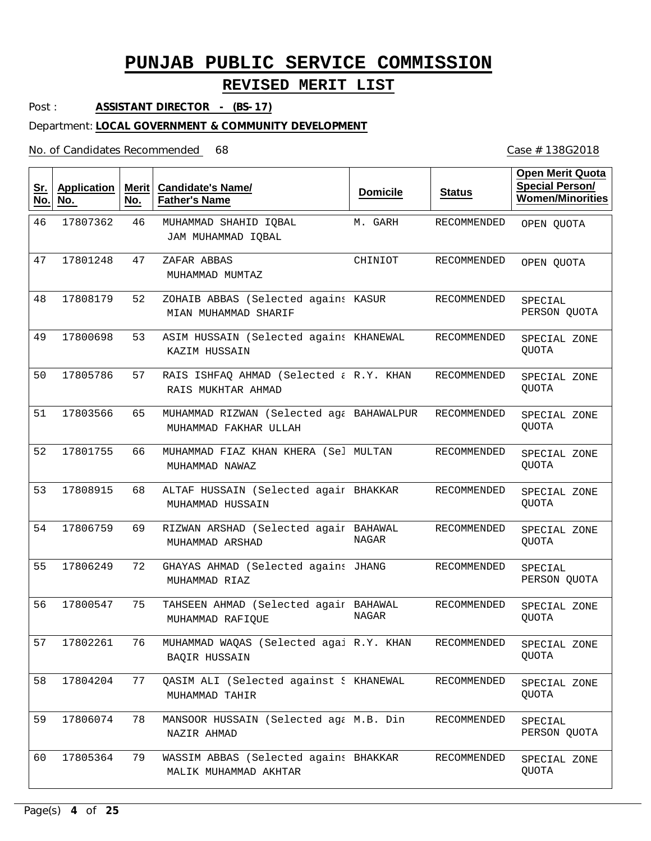## **REVISED MERIT LIST**

Post : **ASSISTANT DIRECTOR - (BS-17)**

#### Department: **LOCAL GOVERNMENT & COMMUNITY DEVELOPMENT**

#### No. of Candidates Recommended

| <u>Sr.</u><br>No. | <b>Application</b><br>No. | Merit $ $<br>No. | <b>Candidate's Name/</b><br><b>Father's Name</b>                  | <b>Domicile</b> | <b>Status</b>      | <b>Open Merit Quota</b><br><b>Special Person/</b><br><b>Women/Minorities</b> |
|-------------------|---------------------------|------------------|-------------------------------------------------------------------|-----------------|--------------------|------------------------------------------------------------------------------|
| 46                | 17807362                  | 46               | MUHAMMAD SHAHID IQBAL<br>JAM MUHAMMAD IQBAL                       | M. GARH         | <b>RECOMMENDED</b> | OPEN QUOTA                                                                   |
| 47                | 17801248                  | 47               | ZAFAR ABBAS<br>MUHAMMAD MUMTAZ                                    | CHINIOT         | RECOMMENDED        | OPEN QUOTA                                                                   |
| 48                | 17808179                  | 52               | ZOHAIB ABBAS (Selected agains KASUR<br>MIAN MUHAMMAD SHARIF       |                 | RECOMMENDED        | SPECIAL<br>PERSON QUOTA                                                      |
| 49                | 17800698                  | 53               | ASIM HUSSAIN (Selected agains KHANEWAL<br>KAZIM HUSSAIN           |                 | RECOMMENDED        | SPECIAL ZONE<br><b>QUOTA</b>                                                 |
| 50                | 17805786                  | 57               | RAIS ISHFAQ AHMAD (Selected & R.Y. KHAN<br>RAIS MUKHTAR AHMAD     |                 | RECOMMENDED        | SPECIAL ZONE<br><b>QUOTA</b>                                                 |
| 51                | 17803566                  | 65               | MUHAMMAD RIZWAN (Selected ag& BAHAWALPUR<br>MUHAMMAD FAKHAR ULLAH |                 | RECOMMENDED        | SPECIAL ZONE<br><b>QUOTA</b>                                                 |
| 52                | 17801755                  | 66               | MUHAMMAD FIAZ KHAN KHERA (Sel MULTAN<br>MUHAMMAD NAWAZ            |                 | RECOMMENDED        | SPECIAL ZONE<br><b>QUOTA</b>                                                 |
| 53                | 17808915                  | 68               | ALTAF HUSSAIN (Selected agair BHAKKAR<br>MUHAMMAD HUSSAIN         |                 | RECOMMENDED        | SPECIAL ZONE<br>QUOTA                                                        |
| 54                | 17806759                  | 69               | RIZWAN ARSHAD (Selected agair BAHAWAL<br>MUHAMMAD ARSHAD          | <b>NAGAR</b>    | RECOMMENDED        | SPECIAL ZONE<br>QUOTA                                                        |
| 55                | 17806249                  | 72               | GHAYAS AHMAD (Selected agains JHANG<br>MUHAMMAD RIAZ              |                 | RECOMMENDED        | SPECIAL<br>PERSON QUOTA                                                      |
| 56                | 17800547                  | 75               | TAHSEEN AHMAD (Selected agair BAHAWAL<br>MUHAMMAD RAFIQUE         | NAGAR           | RECOMMENDED        | SPECIAL ZONE<br>QUOTA                                                        |
| 57                | 17802261                  | 76               | MUHAMMAD WAQAS (Selected agai R.Y. KHAN<br><b>BAOIR HUSSAIN</b>   |                 | <b>RECOMMENDED</b> | SPECIAL ZONE<br>QUOTA                                                        |
| 58                | 17804204                  | 77               | QASIM ALI (Selected against { KHANEWAL<br>MUHAMMAD TAHIR          |                 | RECOMMENDED        | SPECIAL ZONE<br>QUOTA                                                        |
| 59                | 17806074                  | 78               | MANSOOR HUSSAIN (Selected aga M.B. Din<br>NAZIR AHMAD             |                 | RECOMMENDED        | SPECIAL<br>PERSON QUOTA                                                      |
| 60                | 17805364                  | 79               | WASSIM ABBAS (Selected agains BHAKKAR<br>MALIK MUHAMMAD AKHTAR    |                 | RECOMMENDED        | SPECIAL ZONE<br>QUOTA                                                        |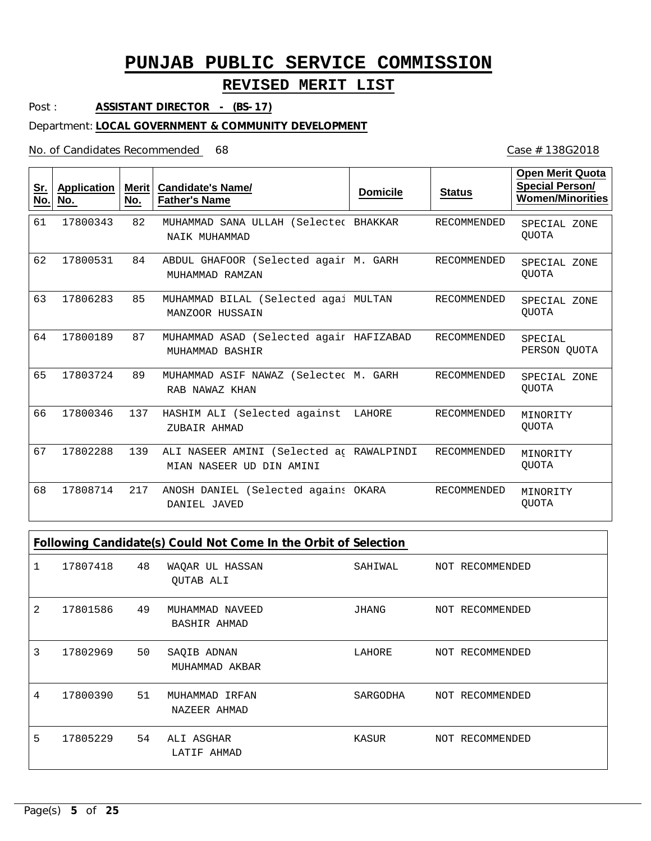## **REVISED MERIT LIST**

Post : **ASSISTANT DIRECTOR - (BS-17)**

#### Department: **LOCAL GOVERNMENT & COMMUNITY DEVELOPMENT**

### No. of Candidates Recommended

| <u>Sr.</u><br>No. | <b>Application</b><br>No. | <b>Merit</b><br>No. | <b>Candidate's Name/</b><br><b>Father's Name</b>                     | <b>Domicile</b> | <b>Status</b>      | Open Merit Quota<br><b>Special Person/</b><br><b>Women/Minorities</b> |
|-------------------|---------------------------|---------------------|----------------------------------------------------------------------|-----------------|--------------------|-----------------------------------------------------------------------|
| 61                | 17800343                  | 82                  | MUHAMMAD SANA ULLAH (Selected BHAKKAR<br>NAIK MUHAMMAD               |                 | RECOMMENDED        | SPECIAL ZONE<br><b>OUOTA</b>                                          |
| 62                | 17800531                  | 84                  | ABDUL GHAFOOR (Selected agair M. GARH<br>MUHAMMAD RAMZAN             |                 | RECOMMENDED        | SPECIAL ZONE<br><b>OUOTA</b>                                          |
| 63                | 17806283                  | 85                  | MUHAMMAD BILAL (Selected agai MULTAN<br>MANZOOR HUSSAIN              |                 | RECOMMENDED        | SPECIAL ZONE<br><b>OUOTA</b>                                          |
| 64                | 17800189                  | 87                  | MUHAMMAD ASAD (Selected agair HAFIZABAD<br>MUHAMMAD BASHIR           |                 | <b>RECOMMENDED</b> | SPECIAL<br>PERSON QUOTA                                               |
| 65                | 17803724                  | 89                  | MUHAMMAD ASIF NAWAZ (Selected M. GARH<br>RAB NAWAZ KHAN              |                 | <b>RECOMMENDED</b> | SPECIAL ZONE<br>QUOTA                                                 |
| 66                | 17800346                  | 137                 | HASHIM ALI (Selected against<br>ZUBAIR AHMAD                         | LAHORE          | <b>RECOMMENDED</b> | MINORITY<br><b>OUOTA</b>                                              |
| 67                | 17802288                  | 139                 | ALI NASEER AMINI (Selected ac RAWALPINDI<br>MIAN NASEER UD DIN AMINI |                 | RECOMMENDED        | MINORITY<br><b>OUOTA</b>                                              |
| 68                | 17808714                  | 217                 | ANOSH DANIEL (Selected agains OKARA<br>DANIEL JAVED                  |                 | <b>RECOMMENDED</b> | MINORITY<br><b>OUOTA</b>                                              |

|   | Following Candidate(s) Could Not Come In the Orbit of Selection |    |                                 |          |  |                 |  |  |
|---|-----------------------------------------------------------------|----|---------------------------------|----------|--|-----------------|--|--|
|   | 17807418                                                        | 48 | WAQAR UL HASSAN<br>QUTAB ALI    | SAHIWAL  |  | NOT RECOMMENDED |  |  |
| 2 | 17801586                                                        | 49 | MUHAMMAD NAVEED<br>BASHIR AHMAD | JHANG    |  | NOT RECOMMENDED |  |  |
| 3 | 17802969                                                        | 50 | SAQIB ADNAN<br>MUHAMMAD AKBAR   | LAHORE   |  | NOT RECOMMENDED |  |  |
| 4 | 17800390                                                        | 51 | MUHAMMAD IRFAN<br>NAZEER AHMAD  | SARGODHA |  | NOT RECOMMENDED |  |  |
| 5 | 17805229                                                        | 54 | ALI ASGHAR<br>LATIF AHMAD       | KASUR    |  | NOT RECOMMENDED |  |  |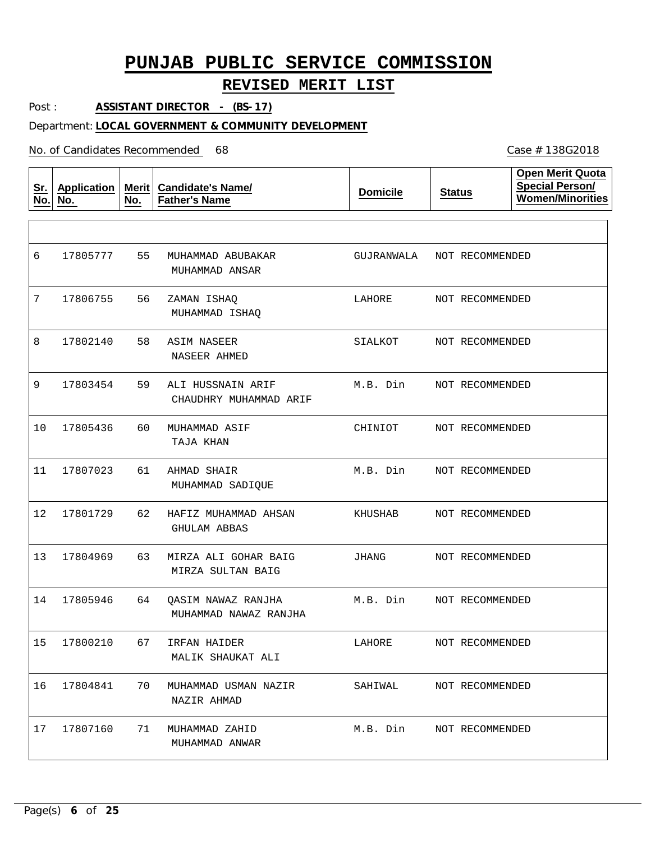## **REVISED MERIT LIST**

Post : **ASSISTANT DIRECTOR - (BS-17)**

### Department: **LOCAL GOVERNMENT & COMMUNITY DEVELOPMENT**

| <u>Sr.</u><br>No. | <b>Application</b><br>No. | No. | Merit   Candidate's Name/<br><b>Father's Name</b> | <b>Domicile</b> | <b>Status</b>   | <b>Open Merit Quota</b><br><b>Special Person/</b><br><b>Women/Minorities</b> |
|-------------------|---------------------------|-----|---------------------------------------------------|-----------------|-----------------|------------------------------------------------------------------------------|
|                   |                           |     |                                                   |                 |                 |                                                                              |
| 6                 | 17805777                  | 55  | MUHAMMAD ABUBAKAR<br>MUHAMMAD ANSAR               | GUJRANWALA      | NOT RECOMMENDED |                                                                              |
| 7                 | 17806755                  | 56  | ZAMAN ISHAQ<br>MUHAMMAD ISHAQ                     | LAHORE          | NOT RECOMMENDED |                                                                              |
| 8                 | 17802140                  | 58  | ASIM NASEER<br>NASEER AHMED                       | SIALKOT         | NOT RECOMMENDED |                                                                              |
| 9                 | 17803454                  | 59  | ALI HUSSNAIN ARIF<br>CHAUDHRY MUHAMMAD ARIF       | M.B. Din        | NOT RECOMMENDED |                                                                              |
| 10                | 17805436                  | 60  | MUHAMMAD ASIF<br>TAJA KHAN                        | CHINIOT         | NOT RECOMMENDED |                                                                              |
| 11                | 17807023                  | 61  | AHMAD SHAIR<br>MUHAMMAD SADIQUE                   | M.B. Din        | NOT RECOMMENDED |                                                                              |
| 12                | 17801729                  | 62  | HAFIZ MUHAMMAD AHSAN<br>GHULAM ABBAS              | KHUSHAB         | NOT RECOMMENDED |                                                                              |
| 13                | 17804969                  | 63  | MIRZA ALI GOHAR BAIG<br>MIRZA SULTAN BAIG         | JHANG           | NOT RECOMMENDED |                                                                              |
| 14                | 17805946                  | 64  | QASIM NAWAZ RANJHA<br>MUHAMMAD NAWAZ RANJHA       | M.B. Din        | NOT RECOMMENDED |                                                                              |
| 15                | 17800210                  | 67  | IRFAN HAIDER<br>MALIK SHAUKAT ALI                 | LAHORE          | NOT RECOMMENDED |                                                                              |
| 16                | 17804841                  | 70  | MUHAMMAD USMAN NAZIR<br>NAZIR AHMAD               | SAHIWAL         | NOT RECOMMENDED |                                                                              |
| 17                | 17807160                  | 71  | MUHAMMAD ZAHID<br>MUHAMMAD ANWAR                  | M.B. Din        | NOT RECOMMENDED |                                                                              |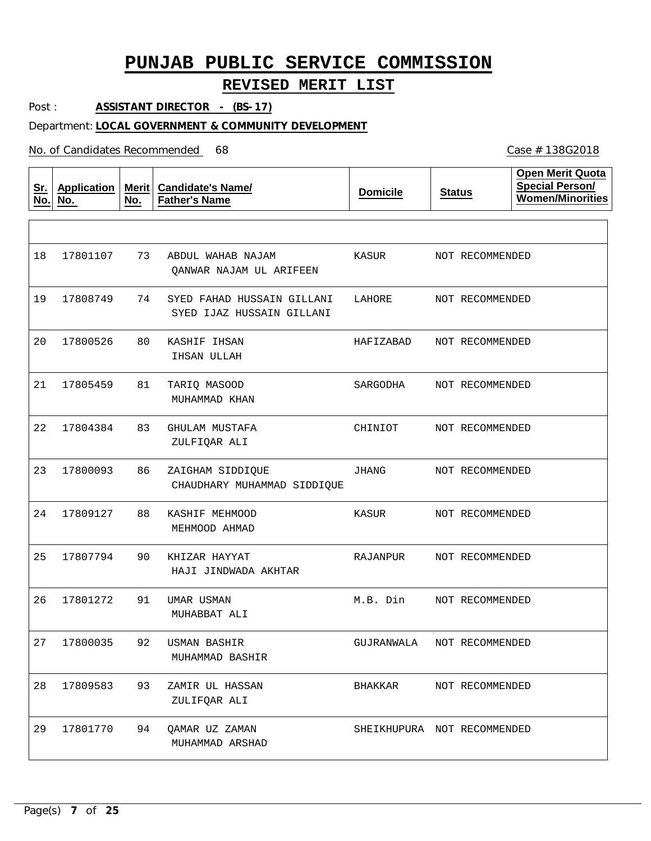## **REVISED MERIT LIST**

Post : **ASSISTANT DIRECTOR - (BS-17)**

### Department: **LOCAL GOVERNMENT & COMMUNITY DEVELOPMENT**

No. of Candidates Recommended

| <u>Sr.</u><br>No. | <b>Application</b><br>No. | Merit<br>No. | <b>Candidate's Name/</b><br><b>Father's Name</b>        | <b>Domicile</b>             | <b>Status</b>   | <b>Open Merit Quota</b><br><b>Special Person/</b><br><b>Women/Minorities</b> |
|-------------------|---------------------------|--------------|---------------------------------------------------------|-----------------------------|-----------------|------------------------------------------------------------------------------|
|                   |                           |              |                                                         |                             |                 |                                                                              |
| 18                | 17801107                  | 73           | ABDUL WAHAB NAJAM<br>QANWAR NAJAM UL ARIFEEN            | KASUR                       | NOT RECOMMENDED |                                                                              |
| 19                | 17808749                  | 74           | SYED FAHAD HUSSAIN GILLANI<br>SYED IJAZ HUSSAIN GILLANI | LAHORE                      | NOT RECOMMENDED |                                                                              |
| 20                | 17800526                  | 80           | KASHIF IHSAN<br>IHSAN ULLAH                             | HAFIZABAD                   | NOT RECOMMENDED |                                                                              |
| 21                | 17805459                  | 81           | TARIQ MASOOD<br>MUHAMMAD KHAN                           | SARGODHA                    | NOT RECOMMENDED |                                                                              |
| 22                | 17804384                  | 83           | GHULAM MUSTAFA<br>ZULFIQAR ALI                          | CHINIOT                     | NOT RECOMMENDED |                                                                              |
| 23                | 17800093                  | 86           | ZAIGHAM SIDDIQUE<br>CHAUDHARY MUHAMMAD SIDDIQUE         | JHANG                       | NOT RECOMMENDED |                                                                              |
| 24                | 17809127                  | 88           | KASHIF MEHMOOD<br>MEHMOOD AHMAD                         | KASUR                       | NOT RECOMMENDED |                                                                              |
| 25                | 17807794                  | 90           | KHIZAR HAYYAT<br>HAJI JINDWADA AKHTAR                   | RAJANPUR                    | NOT RECOMMENDED |                                                                              |
| 26                | 17801272                  | 91           | UMAR USMAN<br>MUHABBAT ALI                              | M.B. Din                    | NOT RECOMMENDED |                                                                              |
| 27                | 17800035                  | 92           | USMAN BASHIR<br>MUHAMMAD BASHIR                         | GUJRANWALA                  | NOT RECOMMENDED |                                                                              |
| 28                | 17809583                  | 93           | ZAMIR UL HASSAN<br>ZULIFQAR ALI                         | BHAKKAR                     | NOT RECOMMENDED |                                                                              |
| 29                | 17801770                  | 94           | QAMAR UZ ZAMAN<br>MUHAMMAD ARSHAD                       | SHEIKHUPURA NOT RECOMMENDED |                 |                                                                              |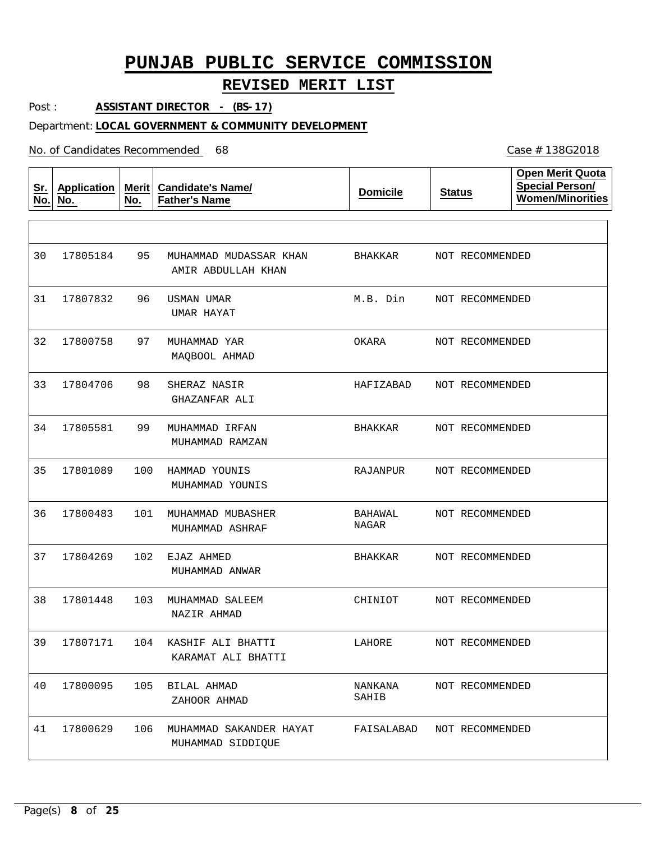### **REVISED MERIT LIST**

Post : **ASSISTANT DIRECTOR - (BS-17)**

### Department: **LOCAL GOVERNMENT & COMMUNITY DEVELOPMENT**

No. of Candidates Recommended

**Sr. No. Application No. Merit No. Candidate's Name/ Father's Name Domicile Status Open Merit Quota Special Person/ Women/Minorities** 95 MUHAMMAD MUDASSAR KHAN 96 USMAN UMAR 97 98 99 100 HAMMAD YOUNIS 101 MUHAMMAD MUBASHER 102 EJAZ AHMED 103 MUHAMMAD SALEEM 104 KASHIF ALI BHATTI 17800095 105 BILAL AHMAD 106 MUHAMMAD SAKANDER HAYAT MUHAMMAD YAR SHERAZ NASIR MUHAMMAD IRFAN AMIR ABDULLAH KHAN UMAR HAYAT MAQBOOL AHMAD GHAZANFAR ALI MUHAMMAD RAMZAN MUHAMMAD YOUNIS MUHAMMAD ASHRAF MUHAMMAD ANWAR NAZIR AHMAD KARAMAT ALI BHATTI ZAHOOR AHMAD MUHAMMAD SIDDIQUE 30 31 17807832 32 33 17804706 34 17805581 35 36 37 38 39 17807171 40 41 17805184 17800758 17801089 17800483 17804269 17801448 17800629 BHAKKAR M.B. Din OKARA HAFIZABAD BHAKKAR RAJANPUR BAHAWAL NAGAR BHAKKAR CHINIOT LAHORE NANKANA SAHIB FAISALABAD NOT RECOMMENDED NOT RECOMMENDED NOT RECOMMENDED NOT RECOMMENDED NOT RECOMMENDED NOT RECOMMENDED NOT RECOMMENDED NOT RECOMMENDED NOT RECOMMENDED NOT RECOMMENDED NOT RECOMMENDED NOT RECOMMENDED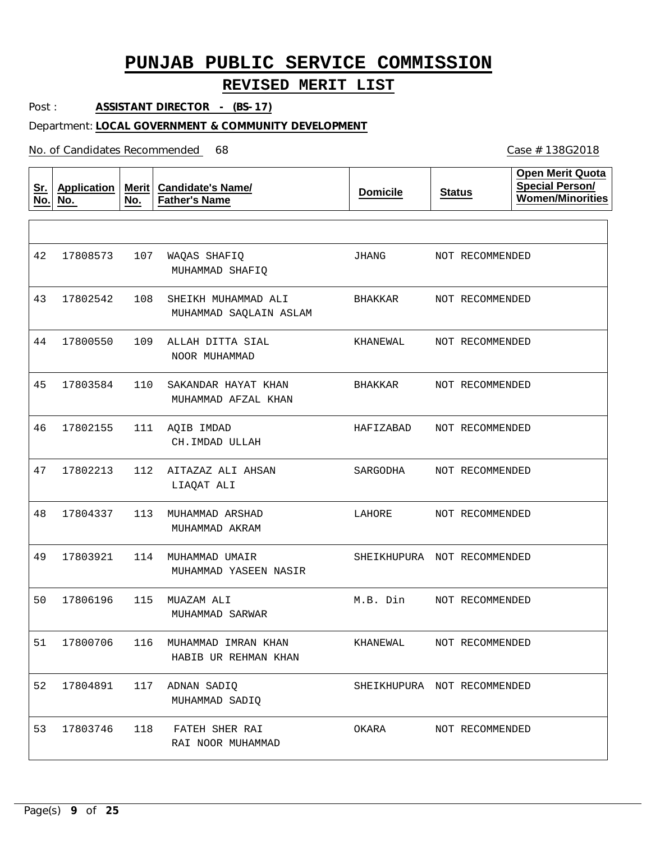## **REVISED MERIT LIST**

Post : **ASSISTANT DIRECTOR - (BS-17)**

### Department: **LOCAL GOVERNMENT & COMMUNITY DEVELOPMENT**

| <u>Sr.</u><br>No. | <b>Application</b><br>No. | Merit  <br>No. | <b>Candidate's Name/</b><br><b>Father's Name</b> | <b>Domicile</b>             | <b>Status</b>   | <b>Open Merit Quota</b><br><b>Special Person/</b><br><b>Women/Minorities</b> |
|-------------------|---------------------------|----------------|--------------------------------------------------|-----------------------------|-----------------|------------------------------------------------------------------------------|
|                   |                           |                |                                                  |                             |                 |                                                                              |
| 42                | 17808573                  | 107            | WAQAS SHAFIQ<br>MUHAMMAD SHAFIQ                  | JHANG                       | NOT RECOMMENDED |                                                                              |
| 43                | 17802542                  | 108            | SHEIKH MUHAMMAD ALI<br>MUHAMMAD SAQLAIN ASLAM    | BHAKKAR                     | NOT RECOMMENDED |                                                                              |
| 44                | 17800550                  | 109            | ALLAH DITTA SIAL<br>NOOR MUHAMMAD                | KHANEWAL                    | NOT RECOMMENDED |                                                                              |
| 45                | 17803584                  | 110            | SAKANDAR HAYAT KHAN<br>MUHAMMAD AFZAL KHAN       | BHAKKAR                     | NOT RECOMMENDED |                                                                              |
| 46                | 17802155                  | 111            | AQIB IMDAD<br>CH.IMDAD ULLAH                     | HAFIZABAD                   | NOT RECOMMENDED |                                                                              |
| 47                | 17802213                  | 112            | AITAZAZ ALI AHSAN<br>LIAQAT ALI                  | SARGODHA                    | NOT RECOMMENDED |                                                                              |
| 48                | 17804337                  | 113            | MUHAMMAD ARSHAD<br>MUHAMMAD AKRAM                | LAHORE                      | NOT RECOMMENDED |                                                                              |
| 49                | 17803921                  | 114            | MUHAMMAD UMAIR<br>MUHAMMAD YASEEN NASIR          | SHEIKHUPURA NOT RECOMMENDED |                 |                                                                              |
| 50                | 17806196                  | 115            | MUAZAM ALI<br>MUHAMMAD SARWAR                    | M.B. Din                    | NOT RECOMMENDED |                                                                              |
| 51                | 17800706                  | 116            | MUHAMMAD IMRAN KHAN<br>HABIB UR REHMAN KHAN      | KHANEWAL                    | NOT RECOMMENDED |                                                                              |
| 52                | 17804891                  | 117            | ADNAN SADIO<br>MUHAMMAD SADIQ                    | SHEIKHUPURA NOT RECOMMENDED |                 |                                                                              |
| 53                | 17803746                  | 118            | FATEH SHER RAI<br>RAI NOOR MUHAMMAD              | OKARA                       | NOT RECOMMENDED |                                                                              |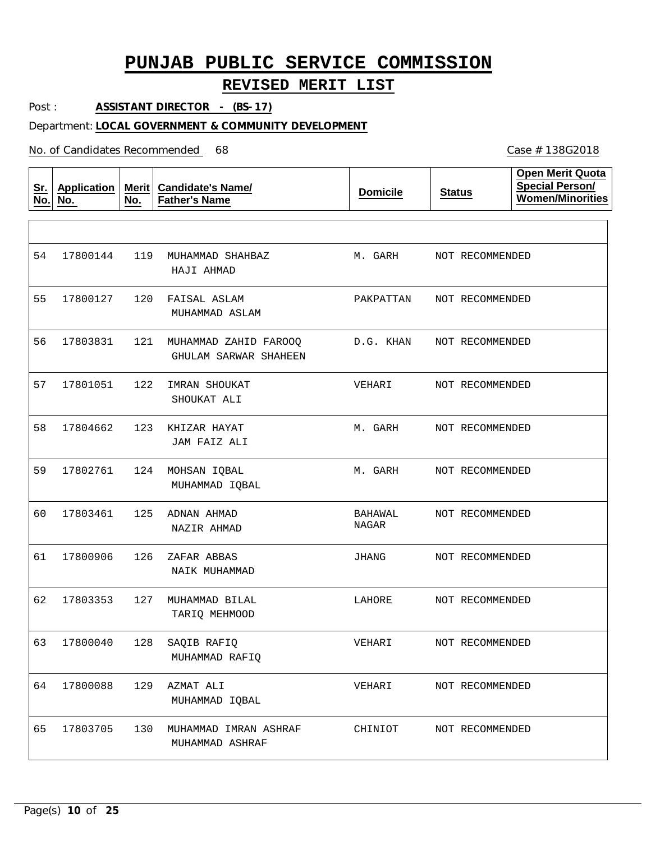## **REVISED MERIT LIST**

Post : **ASSISTANT DIRECTOR - (BS-17)**

### Department: **LOCAL GOVERNMENT & COMMUNITY DEVELOPMENT**

No. of Candidates Recommended

| <u>Sr.</u><br>No. | <b>Application</b><br>No. | <b>Merit</b><br>No. | <b>Candidate's Name/</b><br><b>Father's Name</b> | <b>Domicile</b>         | <b>Status</b>   | Open Merit Quota<br><b>Special Person/</b><br><b>Women/Minorities</b> |
|-------------------|---------------------------|---------------------|--------------------------------------------------|-------------------------|-----------------|-----------------------------------------------------------------------|
|                   |                           |                     |                                                  |                         |                 |                                                                       |
| 54                | 17800144                  | 119                 | MUHAMMAD SHAHBAZ<br>HAJI AHMAD                   | M. GARH                 | NOT RECOMMENDED |                                                                       |
| 55                | 17800127                  | 120                 | FAISAL ASLAM<br>MUHAMMAD ASLAM                   | PAKPATTAN               | NOT RECOMMENDED |                                                                       |
| 56                | 17803831                  | 121                 | MUHAMMAD ZAHID FAROOQ<br>GHULAM SARWAR SHAHEEN   | D.G. KHAN               | NOT RECOMMENDED |                                                                       |
| 57                | 17801051                  | 122                 | IMRAN SHOUKAT<br>SHOUKAT ALI                     | VEHARI                  | NOT RECOMMENDED |                                                                       |
| 58                | 17804662                  | 123                 | KHIZAR HAYAT<br>JAM FAIZ ALI                     | M. GARH                 | NOT RECOMMENDED |                                                                       |
| 59                | 17802761                  | 124                 | MOHSAN IQBAL<br>MUHAMMAD IQBAL                   | M. GARH                 | NOT RECOMMENDED |                                                                       |
| 60                | 17803461                  | 125                 | ADNAN AHMAD<br>NAZIR AHMAD                       | <b>BAHAWAL</b><br>NAGAR | NOT RECOMMENDED |                                                                       |
| 61                | 17800906                  | 126                 | ZAFAR ABBAS<br>NAIK MUHAMMAD                     | JHANG                   | NOT RECOMMENDED |                                                                       |
| 62                | 17803353                  | 127                 | MUHAMMAD BILAL<br>TARIQ MEHMOOD                  | LAHORE                  | NOT RECOMMENDED |                                                                       |
| 63                | 17800040                  | 128                 | SAQIB RAFIQ<br>MUHAMMAD RAFIO                    | VEHARI                  | NOT RECOMMENDED |                                                                       |
| 64                | 17800088                  | 129                 | AZMAT ALI<br>MUHAMMAD IQBAL                      | VEHARI                  | NOT RECOMMENDED |                                                                       |
| 65                | 17803705                  | 130                 | MUHAMMAD IMRAN ASHRAF<br>MUHAMMAD ASHRAF         | CHINIOT                 | NOT RECOMMENDED |                                                                       |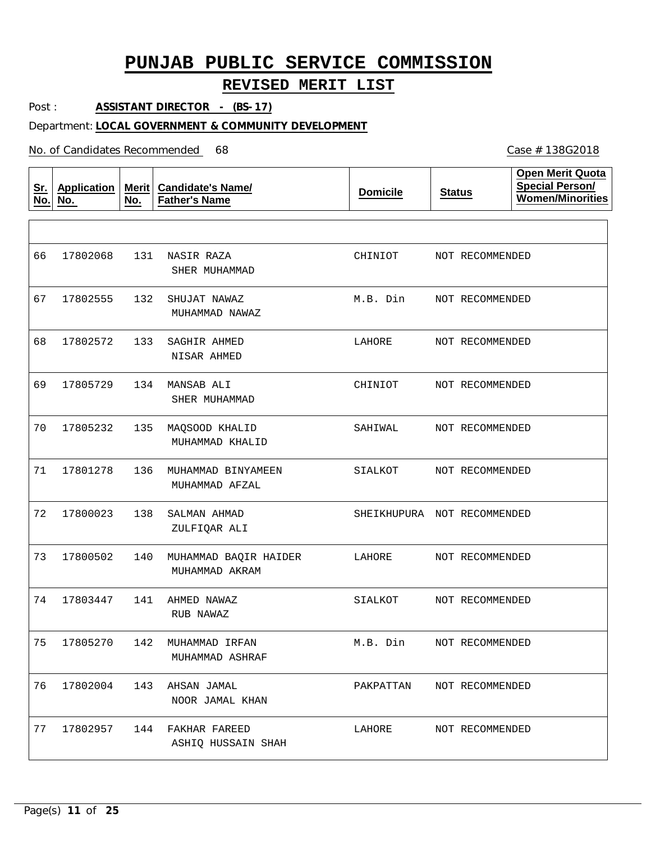### **REVISED MERIT LIST**

Post : **ASSISTANT DIRECTOR - (BS-17)**

#### Department: **LOCAL GOVERNMENT & COMMUNITY DEVELOPMENT**

No. of Candidates Recommended

**Sr. No. Application No. Merit No. Candidate's Name/ Father's Name Domicile Status Open Merit Quota Special Person/ Women/Minorities** 131 NASIR RAZA 132 SHUJAT NAWAZ 133 SAGHIR AHMED 134 MANSAB ALI 135 MAQSOOD KHALID 136 MUHAMMAD BINYAMEEN 138 SALMAN AHMAD 140 MUHAMMAD BAQIR HAIDER 141 AHMED NAWAZ 142 MUHAMMAD IRFAN 17802004 143 AHSAN JAMAL 144 FAKHAR FAREED SHER MUHAMMAD MUHAMMAD NAWAZ NISAR AHMED SHER MUHAMMAD MUHAMMAD KHALID MUHAMMAD AFZAL ZULFIQAR ALI MUHAMMAD AKRAM RUB NAWAZ MUHAMMAD ASHRAF NOOR JAMAL KHAN ASHIQ HUSSAIN SHAH 66 67 17802555 68 69 70 71 72 17800023 73 17800502 74 75 17805270 76 77 17802068 17802572 17805729 17805232 17801278 17803447 17802957 CHINIOT M.B. Din LAHORE CHINIOT SAHIWAL SIALKOT SHEIKHUPURA NOT RECOMMENDED LAHORE SIALKOT M.B. Din PAKPATTAN LAHORE NOT RECOMMENDED NOT RECOMMENDED NOT RECOMMENDED NOT RECOMMENDED NOT RECOMMENDED NOT RECOMMENDED NOT RECOMMENDED NOT RECOMMENDED NOT RECOMMENDED NOT RECOMMENDED NOT RECOMMENDED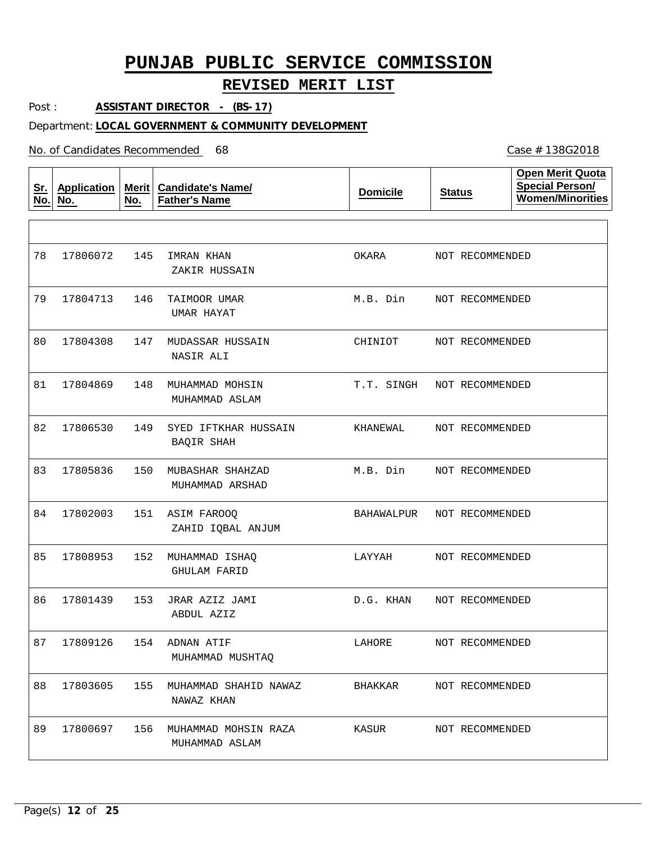### **REVISED MERIT LIST**

Post : **ASSISTANT DIRECTOR - (BS-17)**

#### Department: **LOCAL GOVERNMENT & COMMUNITY DEVELOPMENT**

No. of Candidates Recommended

**Sr. No. Application No. Merit Candidate's Name/ No. Father's Name Domicile Status Open Merit Quota Special Person/ Women/Minorities** 145 IMRAN KHAN 146 TAIMOOR UMAR 79 17804713 147 MUDASSAR HUSSAIN 148 MUHAMMAD MOHSIN 149 SYED IFTKHAR HUSSAIN 150 MUBASHAR SHAHZAD 151 ASIM FAROOQ 152 MUHAMMAD ISHAQ 153 JRAR AZIZ JAMI 154 ADNAN ATIF 155 MUHAMMAD SHAHID NAWAZ 88 17803605 156 MUHAMMAD MOHSIN RAZA ZAKIR HUSSAIN UMAR HAYAT NASIR ALI MUHAMMAD ASLAM BAQIR SHAH MUHAMMAD ARSHAD ZAHID IQBAL ANJUM GHULAM FARID ABDUL AZIZ MUHAMMAD MUSHTAQ NAWAZ KHAN MUHAMMAD ASLAM 78 17806072 80 81 82 17806530 83 84 17802003 85 86 87 17809126 89 17804308 17804869 17805836 17808953 17801439 17800697 OKARA M.B. Din CHINIOT T.T. SINGH KHANEWAL M.B. Din BAHAWALPUR LAYYAH D.G. KHAN LAHORE BHAKKAR KASUR NOT RECOMMENDED NOT RECOMMENDED NOT RECOMMENDED NOT RECOMMENDED NOT RECOMMENDED NOT RECOMMENDED NOT RECOMMENDED NOT RECOMMENDED NOT RECOMMENDED NOT RECOMMENDED NOT RECOMMENDED NOT RECOMMENDED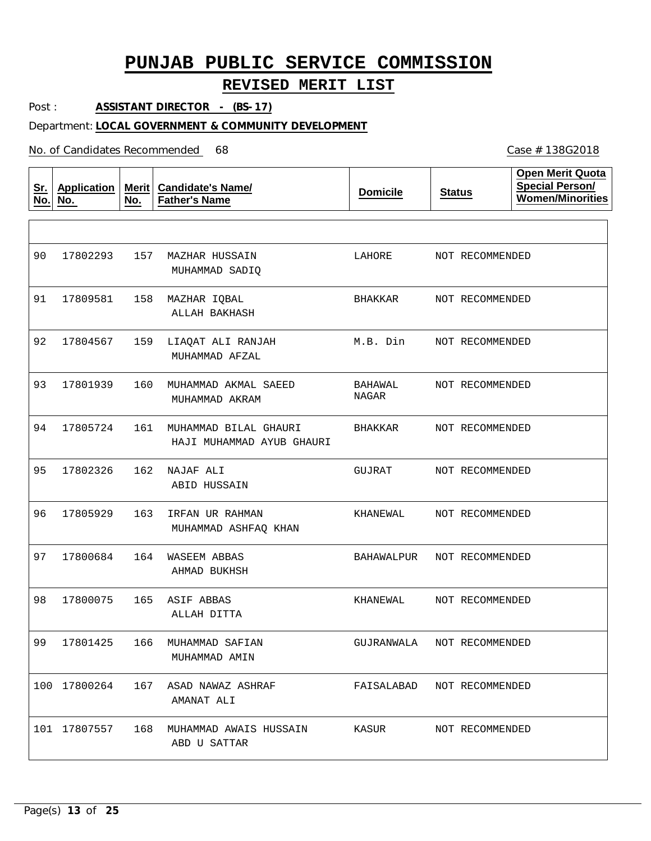### **REVISED MERIT LIST**

Post : **ASSISTANT DIRECTOR - (BS-17)**

#### Department: **LOCAL GOVERNMENT & COMMUNITY DEVELOPMENT**

No. of Candidates Recommended

**Sr. No. Application No. Merit No. Candidate's Name/ Father's Name Domicile Status Open Merit Quota Special Person/ Women/Minorities** 157 MAZHAR HUSSAIN 158 MAZHAR IQBAL 159 LIAQAT ALI RANJAH 160 MUHAMMAD AKMAL SAEED 161 MUHAMMAD BILAL GHAURI 162 NAJAF ALI 163 IRFAN UR RAHMAN 164 WASEEM ABBAS 165 ASIF ABBAS 166 MUHAMMAD SAFIAN 167 ASAD NAWAZ ASHRAF 168 MUHAMMAD AWAIS HUSSAIN MUHAMMAD SADIQ ALLAH BAKHASH MUHAMMAD AFZAL MUHAMMAD AKRAM HAJI MUHAMMAD AYUB GHAURI ABID HUSSAIN MUHAMMAD ASHFAQ KHAN AHMAD BUKHSH ALLAH DITTA MUHAMMAD AMIN AMANAT ALI ABD U SATTAR 90 91 17809581 92 93 94 17805724 95 96 97 98 99 17801425 100 17800264 101 17807557 17802293 17804567 17801939 17802326 17805929 17800684 17800075 LAHORE BHAKKAR M.B. Din BAHAWAL NAGAR BHAKKAR GUJRAT KHANEWAL BAHAWALPUR KHANEWAL GUJRANWALA NOT RECOMMENDED FAISALABAD NOT RECOMMENDED KASUR NOT RECOMMENDED NOT RECOMMENDED NOT RECOMMENDED NOT RECOMMENDED NOT RECOMMENDED NOT RECOMMENDED NOT RECOMMENDED NOT RECOMMENDED NOT RECOMMENDED NOT RECOMMENDED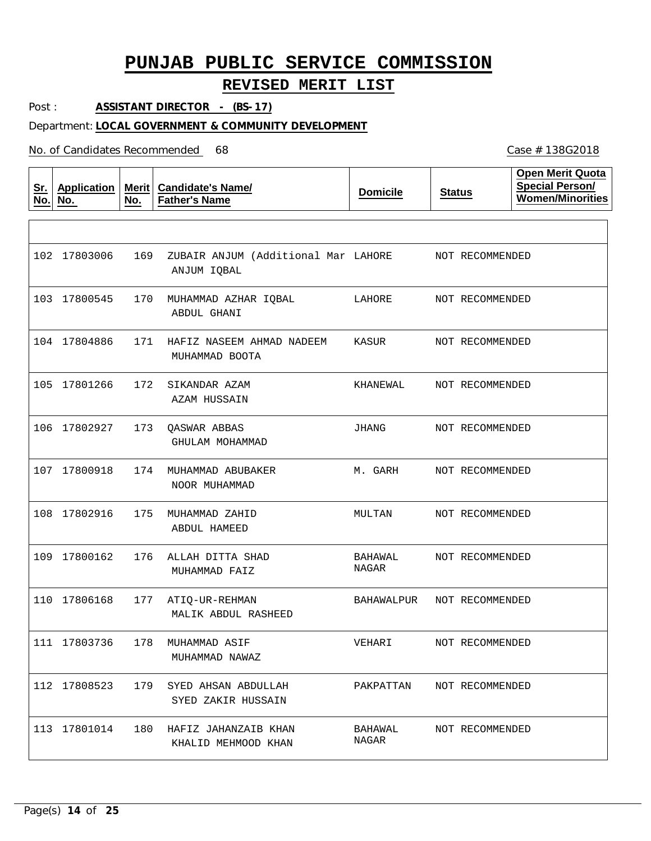## **REVISED MERIT LIST**

Case # 138G2018

Post : **ASSISTANT DIRECTOR - (BS-17)**

### Department: **LOCAL GOVERNMENT & COMMUNITY DEVELOPMENT**

| <u>Sr.</u><br>No. | <b>Application</b><br>No. | Merit<br>No. | <b>Candidate's Name/</b><br><b>Father's Name</b>   | <b>Domicile</b>  | <b>Status</b>   | <b>Open Merit Quota</b><br><b>Special Person/</b><br><b>Women/Minorities</b> |
|-------------------|---------------------------|--------------|----------------------------------------------------|------------------|-----------------|------------------------------------------------------------------------------|
|                   |                           |              |                                                    |                  |                 |                                                                              |
|                   | 102 17803006              | 169          | ZUBAIR ANJUM (Additional Mar LAHORE<br>ANJUM IQBAL |                  | NOT RECOMMENDED |                                                                              |
|                   | 103 17800545              | 170          | MUHAMMAD AZHAR IQBAL<br>ABDUL GHANI                | LAHORE           | NOT RECOMMENDED |                                                                              |
|                   | 104 17804886              | 171          | HAFIZ NASEEM AHMAD NADEEM<br>MUHAMMAD BOOTA        | KASUR            | NOT RECOMMENDED |                                                                              |
|                   | 105 17801266              | 172          | SIKANDAR AZAM<br>AZAM HUSSAIN                      | KHANEWAL         | NOT RECOMMENDED |                                                                              |
| 106               | 17802927                  | 173          | <b>QASWAR ABBAS</b><br>GHULAM MOHAMMAD             | JHANG            | NOT RECOMMENDED |                                                                              |
|                   | 107 17800918              | 174          | MUHAMMAD ABUBAKER<br>NOOR MUHAMMAD                 | M. GARH          | NOT RECOMMENDED |                                                                              |
|                   | 108 17802916              | 175          | MUHAMMAD ZAHID<br>ABDUL HAMEED                     | MULTAN           | NOT RECOMMENDED |                                                                              |
| 109               | 17800162                  | 176          | ALLAH DITTA SHAD<br>MUHAMMAD FAIZ                  | BAHAWAL<br>NAGAR | NOT RECOMMENDED |                                                                              |
| 110               | 17806168                  | 177          | ATIQ-UR-REHMAN<br>MALIK ABDUL RASHEED              | BAHAWALPUR       | NOT RECOMMENDED |                                                                              |
| 111               | 17803736                  | 178          | MUHAMMAD ASIF<br>MUHAMMAD NAWAZ                    | VEHARI           | NOT RECOMMENDED |                                                                              |
|                   | 112 17808523              | 179          | SYED AHSAN ABDULLAH<br>SYED ZAKIR HUSSAIN          | PAKPATTAN        | NOT RECOMMENDED |                                                                              |
|                   | 113 17801014              |              | 180 HAFIZ JAHANZAIB KHAN<br>KHALID MEHMOOD KHAN    | BAHAWAL<br>NAGAR | NOT RECOMMENDED |                                                                              |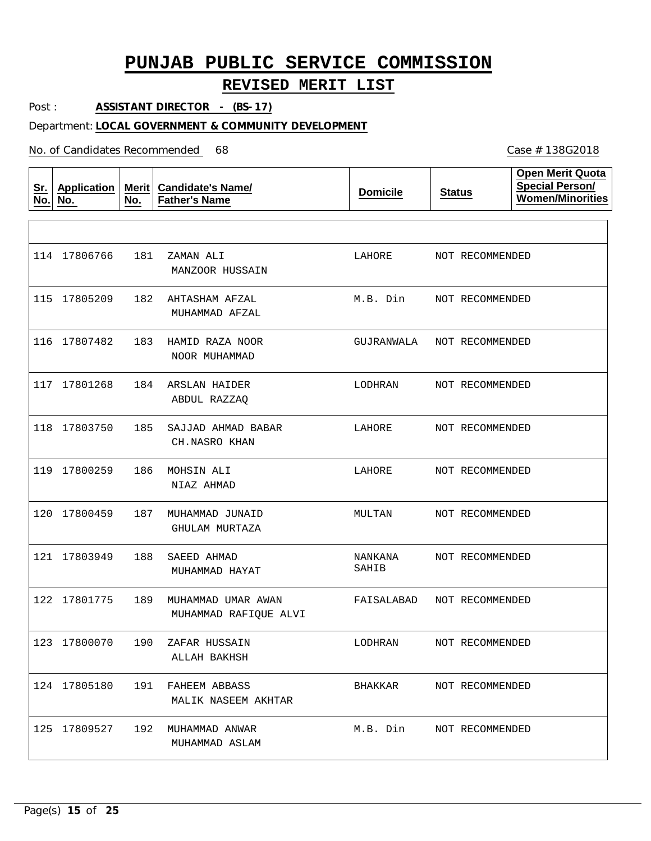## **REVISED MERIT LIST**

Case # 138G2018

Post : **ASSISTANT DIRECTOR - (BS-17)**

### Department: **LOCAL GOVERNMENT & COMMUNITY DEVELOPMENT**

| <u>Sr.</u><br>No. | <b>Application</b><br>No. | Merit $ $<br>No. | <b>Candidate's Name/</b><br><b>Father's Name</b> | <b>Domicile</b>  | <b>Status</b>   | <b>Open Merit Quota</b><br><b>Special Person/</b><br><b>Women/Minorities</b> |
|-------------------|---------------------------|------------------|--------------------------------------------------|------------------|-----------------|------------------------------------------------------------------------------|
|                   |                           |                  |                                                  |                  |                 |                                                                              |
|                   | 114 17806766              | 181              | ZAMAN ALI<br>MANZOOR HUSSAIN                     | LAHORE           | NOT RECOMMENDED |                                                                              |
| 115               | 17805209                  | 182              | AHTASHAM AFZAL<br>MUHAMMAD AFZAL                 | M.B. Din         | NOT RECOMMENDED |                                                                              |
|                   | 116 17807482              | 183              | HAMID RAZA NOOR<br>NOOR MUHAMMAD                 | GUJRANWALA       | NOT RECOMMENDED |                                                                              |
|                   | 117 17801268              | 184              | ARSLAN HAIDER<br>ABDUL RAZZAQ                    | LODHRAN          | NOT RECOMMENDED |                                                                              |
| 118               | 17803750                  | 185              | SAJJAD AHMAD BABAR<br>CH.NASRO KHAN              | LAHORE           | NOT RECOMMENDED |                                                                              |
|                   | 119 17800259              | 186              | MOHSIN ALI<br>NIAZ AHMAD                         | LAHORE           | NOT RECOMMENDED |                                                                              |
| 120               | 17800459                  | 187              | MUHAMMAD JUNAID<br>GHULAM MURTAZA                | MULTAN           | NOT RECOMMENDED |                                                                              |
|                   | 121 17803949              | 188              | SAEED AHMAD<br>MUHAMMAD HAYAT                    | NANKANA<br>SAHIB | NOT RECOMMENDED |                                                                              |
|                   | 122 17801775              | 189              | MUHAMMAD UMAR AWAN<br>MUHAMMAD RAFIQUE ALVI      | FAISALABAD       | NOT RECOMMENDED |                                                                              |
|                   | 123 17800070              | 190              | ZAFAR HUSSAIN<br>ALLAH BAKHSH                    | LODHRAN          | NOT RECOMMENDED |                                                                              |
|                   | 124 17805180              |                  | 191 FAHEEM ABBASS<br>MALIK NASEEM AKHTAR         | BHAKKAR          | NOT RECOMMENDED |                                                                              |
|                   | 125 17809527              | 192              | MUHAMMAD ANWAR<br>MUHAMMAD ASLAM                 | M.B. Din         | NOT RECOMMENDED |                                                                              |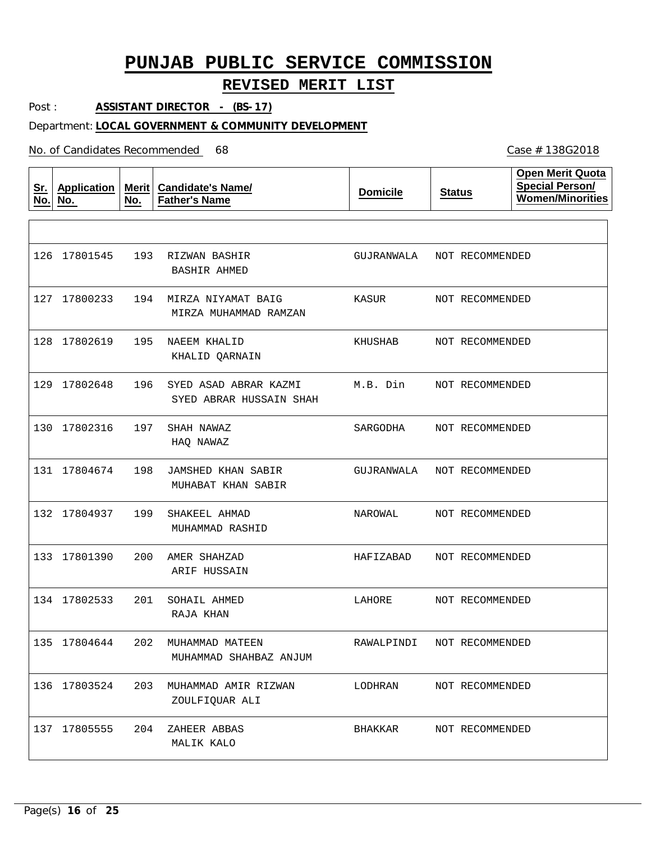## **REVISED MERIT LIST**

Post : **ASSISTANT DIRECTOR - (BS-17)**

### Department: **LOCAL GOVERNMENT & COMMUNITY DEVELOPMENT**

No. of Candidates Recommended

| <u>Sr.</u><br>No. | <b>Application</b><br>No. | Merit<br>No. | <b>Candidate's Name/</b><br><b>Father's Name</b> | <b>Domicile</b> | <b>Status</b>   | <b>Open Merit Quota</b><br><b>Special Person/</b><br><b>Women/Minorities</b> |
|-------------------|---------------------------|--------------|--------------------------------------------------|-----------------|-----------------|------------------------------------------------------------------------------|
|                   |                           |              |                                                  |                 |                 |                                                                              |
|                   | 126 17801545              | 193          | RIZWAN BASHIR<br><b>BASHIR AHMED</b>             | GUJRANWALA      | NOT RECOMMENDED |                                                                              |
|                   | 127 17800233              | 194          | MIRZA NIYAMAT BAIG<br>MIRZA MUHAMMAD RAMZAN      | KASUR           | NOT RECOMMENDED |                                                                              |
|                   | 128 17802619              | 195          | NAEEM KHALID<br>KHALID QARNAIN                   | KHUSHAB         | NOT RECOMMENDED |                                                                              |
|                   | 129 17802648              | 196          | SYED ASAD ABRAR KAZMI<br>SYED ABRAR HUSSAIN SHAH | M.B. Din        | NOT RECOMMENDED |                                                                              |
| 130               | 17802316                  | 197          | SHAH NAWAZ<br>HAQ NAWAZ                          | SARGODHA        | NOT RECOMMENDED |                                                                              |
|                   | 131 17804674              | 198          | <b>JAMSHED KHAN SABIR</b><br>MUHABAT KHAN SABIR  | GUJRANWALA      | NOT RECOMMENDED |                                                                              |
|                   | 132 17804937              | 199          | SHAKEEL AHMAD<br>MUHAMMAD RASHID                 | NAROWAL         | NOT RECOMMENDED |                                                                              |
|                   | 133 17801390              | 200          | AMER SHAHZAD<br>ARIF HUSSAIN                     | HAFIZABAD       | NOT RECOMMENDED |                                                                              |
|                   | 134 17802533              | 201          | SOHAIL AHMED<br>RAJA KHAN                        | LAHORE          | NOT RECOMMENDED |                                                                              |
|                   | 135 17804644              | 202          | MUHAMMAD MATEEN<br>MUHAMMAD SHAHBAZ ANJUM        | RAWALPINDI      | NOT RECOMMENDED |                                                                              |
|                   | 136 17803524              | 203          | MUHAMMAD AMIR RIZWAN<br>ZOULFIQUAR ALI           | LODHRAN         | NOT RECOMMENDED |                                                                              |
|                   | 137 17805555              | 204          | ZAHEER ABBAS<br>MALIK KALO                       | BHAKKAR         | NOT RECOMMENDED |                                                                              |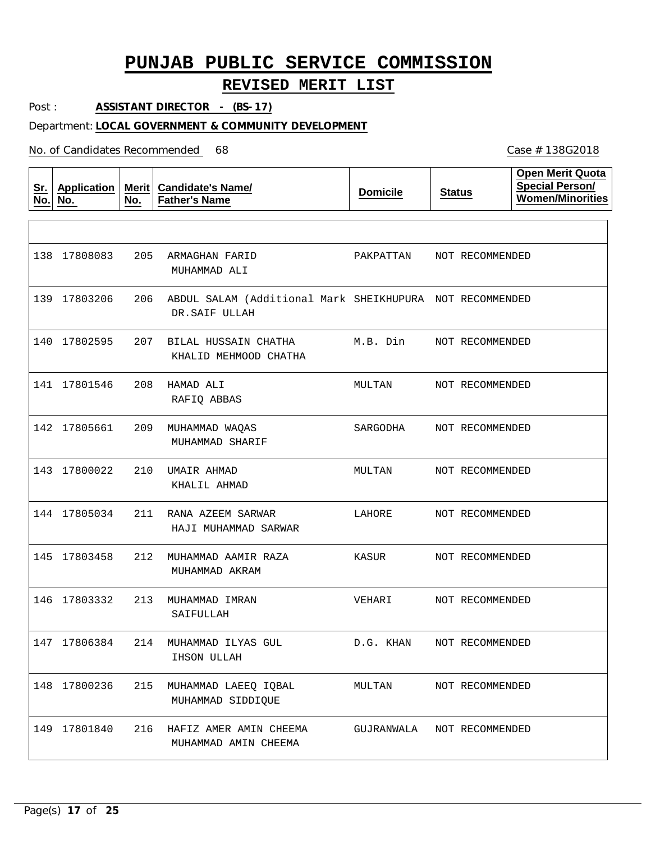## **REVISED MERIT LIST**

Case # 138G2018

Post : **ASSISTANT DIRECTOR - (BS-17)**

### Department: **LOCAL GOVERNMENT & COMMUNITY DEVELOPMENT**

| <u>Sr.</u><br>No. | <b>Application</b><br>No. | Merit $ $<br>No. | <b>Candidate's Name/</b><br><b>Father's Name</b>                          | <b>Domicile</b> | <b>Status</b>   | <b>Open Merit Quota</b><br><b>Special Person/</b><br><b>Women/Minorities</b> |
|-------------------|---------------------------|------------------|---------------------------------------------------------------------------|-----------------|-----------------|------------------------------------------------------------------------------|
|                   |                           |                  |                                                                           |                 |                 |                                                                              |
|                   | 138 17808083              | 205              | ARMAGHAN FARID<br>MUHAMMAD ALI                                            | PAKPATTAN       | NOT RECOMMENDED |                                                                              |
|                   | 139 17803206              | 206              | ABDUL SALAM (Additional Mark SHEIKHUPURA NOT RECOMMENDED<br>DR.SAIF ULLAH |                 |                 |                                                                              |
|                   | 140 17802595              | 207              | BILAL HUSSAIN CHATHA<br>KHALID MEHMOOD CHATHA                             | M.B. Din        | NOT RECOMMENDED |                                                                              |
|                   | 141 17801546              | 208              | HAMAD ALI<br>RAFIQ ABBAS                                                  | MULTAN          | NOT RECOMMENDED |                                                                              |
|                   | 142 17805661              | 209              | MUHAMMAD WAQAS<br>MUHAMMAD SHARIF                                         | SARGODHA        | NOT RECOMMENDED |                                                                              |
|                   | 143 17800022              | 210              | UMAIR AHMAD<br>KHALIL AHMAD                                               | MULTAN          | NOT RECOMMENDED |                                                                              |
|                   | 144 17805034              | 211              | RANA AZEEM SARWAR<br>HAJI MUHAMMAD SARWAR                                 | LAHORE          | NOT RECOMMENDED |                                                                              |
|                   | 145 17803458              | 212              | MUHAMMAD AAMIR RAZA<br>MUHAMMAD AKRAM                                     | KASUR           | NOT RECOMMENDED |                                                                              |
|                   | 146 17803332              | 213              | MUHAMMAD IMRAN<br>SAIFULLAH                                               | VEHARI          | NOT RECOMMENDED |                                                                              |
|                   | 147 17806384              | 214              | MUHAMMAD ILYAS GUL<br>IHSON ULLAH                                         | D.G. KHAN       | NOT RECOMMENDED |                                                                              |
|                   | 148 17800236              | 215              | MUHAMMAD LAEEQ IQBAL<br>MUHAMMAD SIDDIQUE                                 | MULTAN          | NOT RECOMMENDED |                                                                              |
|                   | 149 17801840              | 216              | HAFIZ AMER AMIN CHEEMA<br>MUHAMMAD AMIN CHEEMA                            | GUJRANWALA      | NOT RECOMMENDED |                                                                              |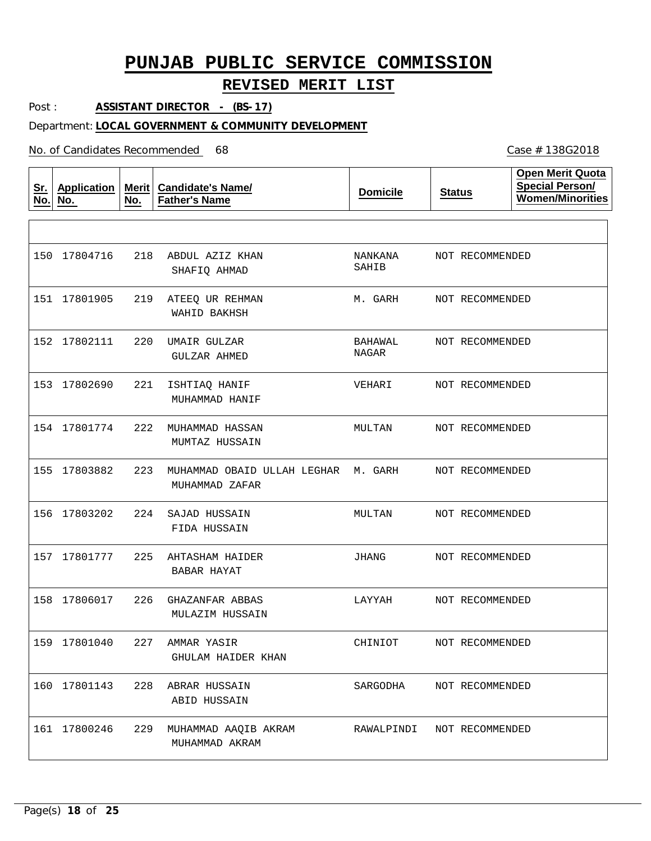## **REVISED MERIT LIST**

Post : **ASSISTANT DIRECTOR - (BS-17)**

#### Department: **LOCAL GOVERNMENT & COMMUNITY DEVELOPMENT**

No. of Candidates Recommended

| <u>Sr.</u><br>No. | <b>Application</b><br>No. | Merit<br>No. | <b>Candidate's Name/</b><br><b>Father's Name</b> | <b>Domicile</b>  | <b>Status</b>   | <b>Open Merit Quota</b><br><b>Special Person/</b><br><b>Women/Minorities</b> |
|-------------------|---------------------------|--------------|--------------------------------------------------|------------------|-----------------|------------------------------------------------------------------------------|
|                   |                           |              |                                                  |                  |                 |                                                                              |
| 150               | 17804716                  | 218          | ABDUL AZIZ KHAN<br>SHAFIQ AHMAD                  | NANKANA<br>SAHIB | NOT RECOMMENDED |                                                                              |
|                   | 151 17801905              | 219          | ATEEQ UR REHMAN<br>WAHID BAKHSH                  | M. GARH          | NOT RECOMMENDED |                                                                              |
|                   | 152 17802111              | 220          | UMAIR GULZAR<br>GULZAR AHMED                     | BAHAWAL<br>NAGAR | NOT RECOMMENDED |                                                                              |
|                   | 153 17802690              | 221          | ISHTIAQ HANIF<br>MUHAMMAD HANIF                  | VEHARI           | NOT RECOMMENDED |                                                                              |
|                   | 154 17801774              | 222          | MUHAMMAD HASSAN<br>MUMTAZ HUSSAIN                | MULTAN           | NOT RECOMMENDED |                                                                              |
|                   | 155 17803882              | 223          | MUHAMMAD OBAID ULLAH LEGHAR<br>MUHAMMAD ZAFAR    | M. GARH          | NOT RECOMMENDED |                                                                              |
|                   | 156 17803202              | 224          | SAJAD HUSSAIN<br>FIDA HUSSAIN                    | MULTAN           | NOT RECOMMENDED |                                                                              |
| 157               | 17801777                  | 225          | AHTASHAM HAIDER<br>BABAR HAYAT                   | JHANG            | NOT RECOMMENDED |                                                                              |
|                   | 158 17806017              | 226          | GHAZANFAR ABBAS<br>MULAZIM HUSSAIN               | LAYYAH           | NOT RECOMMENDED |                                                                              |
|                   | 159 17801040              | 227          | AMMAR YASIR<br>GHULAM HAIDER KHAN                | CHINIOT          | NOT RECOMMENDED |                                                                              |
|                   | 160 17801143              | 228          | ABRAR HUSSAIN<br>ABID HUSSAIN                    | SARGODHA         | NOT RECOMMENDED |                                                                              |
|                   | 161 17800246              | 229          | MUHAMMAD AAQIB AKRAM<br>MUHAMMAD AKRAM           | RAWALPINDI       | NOT RECOMMENDED |                                                                              |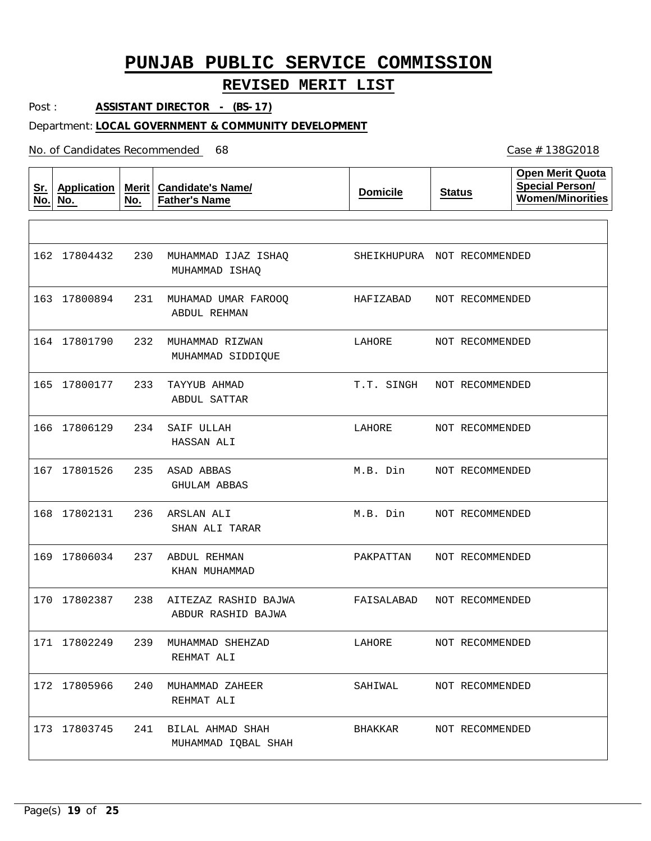## **REVISED MERIT LIST**

Post : **ASSISTANT DIRECTOR - (BS-17)**

### Department: **LOCAL GOVERNMENT & COMMUNITY DEVELOPMENT**

No. of Candidates Recommended

| <u>Sr.</u><br>No. | <b>Application</b><br>No. | Merit $ $<br>No. | <b>Candidate's Name/</b><br><b>Father's Name</b> | <b>Domicile</b>             | <b>Status</b>   | <b>Open Merit Quota</b><br><b>Special Person/</b><br><b>Women/Minorities</b> |
|-------------------|---------------------------|------------------|--------------------------------------------------|-----------------------------|-----------------|------------------------------------------------------------------------------|
|                   |                           |                  |                                                  |                             |                 |                                                                              |
|                   | 162 17804432              | 230              | MUHAMMAD IJAZ ISHAQ<br>MUHAMMAD ISHAQ            | SHEIKHUPURA NOT RECOMMENDED |                 |                                                                              |
|                   | 163 17800894              | 231              | MUHAMAD UMAR FAROOQ<br>ABDUL REHMAN              | HAFIZABAD                   | NOT RECOMMENDED |                                                                              |
|                   | 164 17801790              | 232              | MUHAMMAD RIZWAN<br>MUHAMMAD SIDDIQUE             | LAHORE                      | NOT RECOMMENDED |                                                                              |
|                   | 165 17800177              | 233              | TAYYUB AHMAD<br>ABDUL SATTAR                     | T.T. SINGH                  | NOT RECOMMENDED |                                                                              |
| 166               | 17806129                  | 234              | SAIF ULLAH<br>HASSAN ALI                         | LAHORE                      | NOT RECOMMENDED |                                                                              |
|                   | 167 17801526              | 235              | ASAD ABBAS<br>GHULAM ABBAS                       | M.B. Din                    | NOT RECOMMENDED |                                                                              |
|                   | 168 17802131              | 236              | ARSLAN ALI<br>SHAN ALI TARAR                     | M.B. Din                    | NOT RECOMMENDED |                                                                              |
|                   | 169 17806034              | 237              | ABDUL REHMAN<br>KHAN MUHAMMAD                    | PAKPATTAN                   | NOT RECOMMENDED |                                                                              |
|                   | 170 17802387              | 238              | AITEZAZ RASHID BAJWA<br>ABDUR RASHID BAJWA       | FAISALABAD                  | NOT RECOMMENDED |                                                                              |
|                   | 171 17802249              | 239              | MUHAMMAD SHEHZAD<br>REHMAT ALI                   | LAHORE                      | NOT RECOMMENDED |                                                                              |
|                   | 172 17805966              | 240              | MUHAMMAD ZAHEER<br>REHMAT ALI                    | SAHIWAL                     | NOT RECOMMENDED |                                                                              |
|                   | 173 17803745              |                  | 241 BILAL AHMAD SHAH<br>MUHAMMAD IQBAL SHAH      | BHAKKAR                     | NOT RECOMMENDED |                                                                              |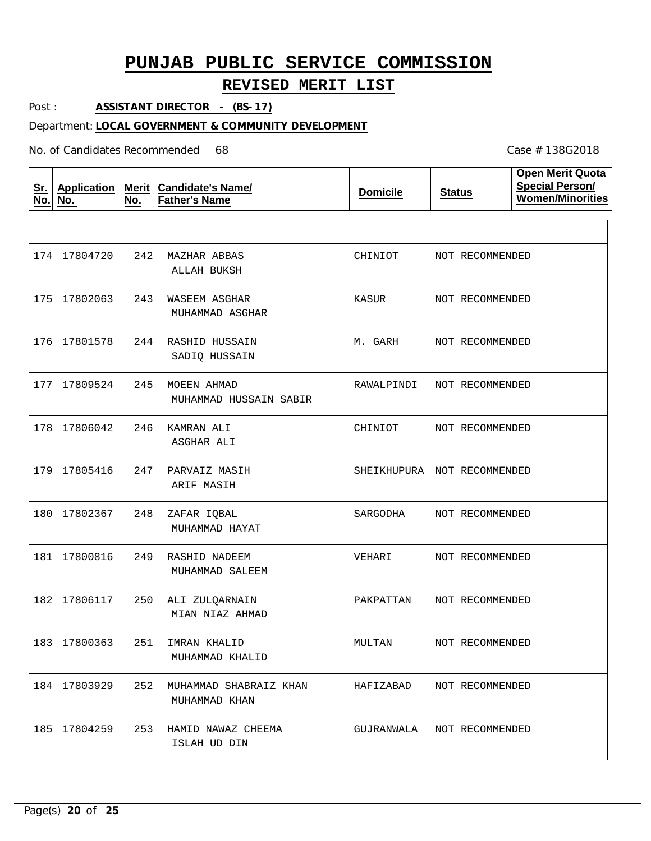## **REVISED MERIT LIST**

Post : **ASSISTANT DIRECTOR - (BS-17)**

#### Department: **LOCAL GOVERNMENT & COMMUNITY DEVELOPMENT**

#### No. of Candidates Recommended

| <u>Sr.</u><br>No. | <b>Application</b><br>No. | No. | Merit   Candidate's Name/<br><b>Father's Name</b> | <b>Domicile</b> | <b>Status</b>               | <b>Open Merit Quota</b><br><b>Special Person/</b><br>Women/Minorities |
|-------------------|---------------------------|-----|---------------------------------------------------|-----------------|-----------------------------|-----------------------------------------------------------------------|
|                   |                           |     |                                                   |                 |                             |                                                                       |
|                   | 174 17804720              | 242 | MAZHAR ABBAS<br>ALLAH BUKSH                       | CHINIOT         | NOT RECOMMENDED             |                                                                       |
|                   | 175 17802063              | 243 | WASEEM ASGHAR<br>MUHAMMAD ASGHAR                  | KASUR           | NOT RECOMMENDED             |                                                                       |
|                   | 176 17801578              | 244 | RASHID HUSSAIN<br>SADIQ HUSSAIN                   | M. GARH         | NOT RECOMMENDED             |                                                                       |
|                   | 177 17809524              | 245 | MOEEN AHMAD<br>MUHAMMAD HUSSAIN SABIR             | RAWALPINDI      | NOT RECOMMENDED             |                                                                       |
|                   | 178 17806042              | 246 | KAMRAN ALI<br>ASGHAR ALI                          | CHINIOT         | NOT RECOMMENDED             |                                                                       |
|                   | 179 17805416              | 247 | PARVAIZ MASIH<br>ARIF MASIH                       |                 | SHEIKHUPURA NOT RECOMMENDED |                                                                       |
|                   | 180 17802367              | 248 | ZAFAR IQBAL<br>MUHAMMAD HAYAT                     | SARGODHA        | NOT RECOMMENDED             |                                                                       |
|                   | 181 17800816              | 249 | RASHID NADEEM<br>MUHAMMAD SALEEM                  | VEHARI          | NOT RECOMMENDED             |                                                                       |
|                   | 182 17806117              | 250 | ALI ZULQARNAIN<br>MIAN NIAZ AHMAD                 | PAKPATTAN       | NOT RECOMMENDED             |                                                                       |
|                   | 183 17800363              |     | 251 IMRAN KHALID<br>MUHAMMAD KHALID               | MULTAN          | NOT RECOMMENDED             |                                                                       |
|                   | 184 17803929              | 252 | MUHAMMAD SHABRAIZ KHAN<br>MUHAMMAD KHAN           | HAFIZABAD       | NOT RECOMMENDED             |                                                                       |
|                   | 185 17804259              |     | 253 HAMID NAWAZ CHEEMA<br>ISLAH UD DIN            | GUJRANWALA      | NOT RECOMMENDED             |                                                                       |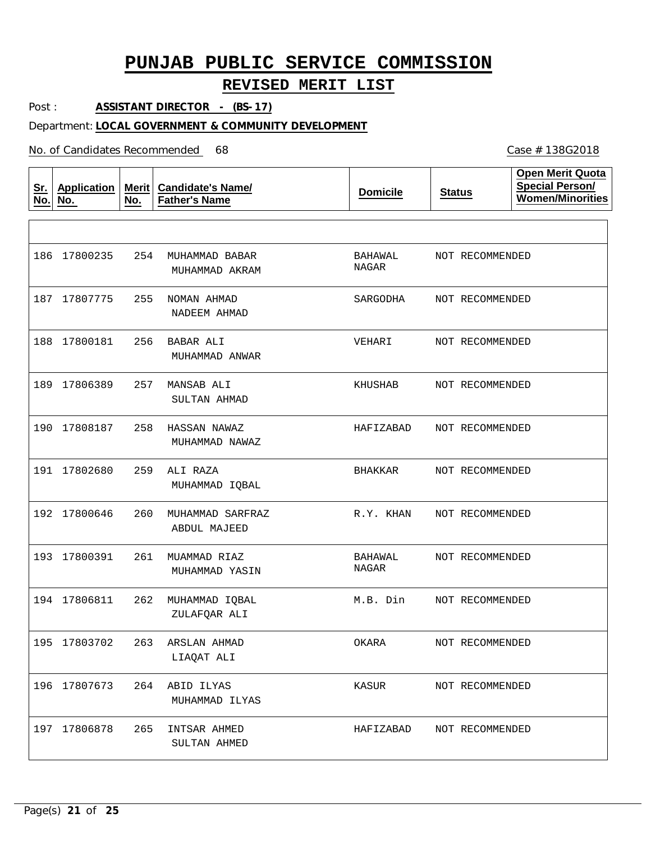## **REVISED MERIT LIST**

Post : **ASSISTANT DIRECTOR - (BS-17)**

#### Department: **LOCAL GOVERNMENT & COMMUNITY DEVELOPMENT**

No. of Candidates Recommended

| <u>Sr.</u><br>No. | <b>Application</b><br>No. | Merit<br>No. | <b>Candidate's Name/</b><br><b>Father's Name</b> | <b>Domicile</b>         | <b>Status</b>   | <b>Open Merit Quota</b><br><b>Special Person/</b><br><b>Women/Minorities</b> |
|-------------------|---------------------------|--------------|--------------------------------------------------|-------------------------|-----------------|------------------------------------------------------------------------------|
|                   |                           |              |                                                  |                         |                 |                                                                              |
|                   | 186 17800235              | 254          | MUHAMMAD BABAR<br>MUHAMMAD AKRAM                 | BAHAWAL<br><b>NAGAR</b> | NOT RECOMMENDED |                                                                              |
|                   | 187 17807775              | 255          | NOMAN AHMAD<br>NADEEM AHMAD                      | SARGODHA                | NOT RECOMMENDED |                                                                              |
|                   | 188 17800181              | 256          | BABAR ALI<br>MUHAMMAD ANWAR                      | VEHARI                  | NOT RECOMMENDED |                                                                              |
|                   | 189 17806389              | 257          | MANSAB ALI<br>SULTAN AHMAD                       | KHUSHAB                 | NOT RECOMMENDED |                                                                              |
| 190               | 17808187                  | 258          | HASSAN NAWAZ<br>MUHAMMAD NAWAZ                   | HAFIZABAD               | NOT RECOMMENDED |                                                                              |
|                   | 191 17802680              | 259          | ALI RAZA<br>MUHAMMAD IQBAL                       | BHAKKAR                 | NOT RECOMMENDED |                                                                              |
|                   | 192 17800646              | 260          | MUHAMMAD SARFRAZ<br>ABDUL MAJEED                 | R.Y. KHAN               | NOT RECOMMENDED |                                                                              |
|                   | 193 17800391              | 261          | MUAMMAD RIAZ<br>MUHAMMAD YASIN                   | BAHAWAL<br>NAGAR        | NOT RECOMMENDED |                                                                              |
|                   | 194 17806811              | 262          | MUHAMMAD IQBAL<br>ZULAFQAR ALI                   | M.B. Din                | NOT RECOMMENDED |                                                                              |
|                   | 195 17803702              | 263          | ARSLAN AHMAD<br>LIAQAT ALI                       | OKARA                   | NOT RECOMMENDED |                                                                              |
|                   | 196 17807673              | 264          | ABID ILYAS<br>MUHAMMAD ILYAS                     | KASUR                   | NOT RECOMMENDED |                                                                              |
|                   | 197 17806878              | 265          | INTSAR AHMED<br>SULTAN AHMED                     | HAFIZABAD               | NOT RECOMMENDED |                                                                              |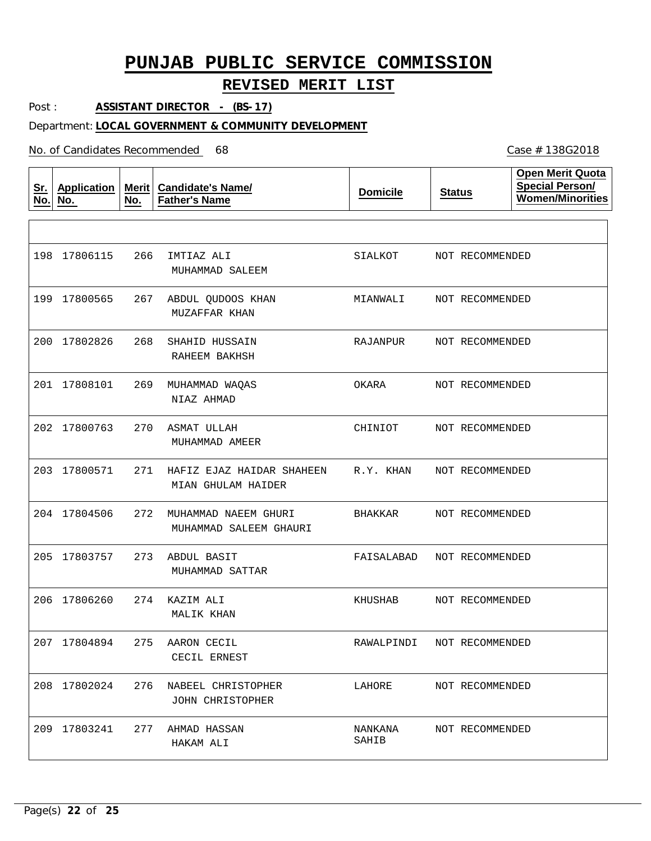## **REVISED MERIT LIST**

Post : **ASSISTANT DIRECTOR - (BS-17)**

### Department: **LOCAL GOVERNMENT & COMMUNITY DEVELOPMENT**

No. of Candidates Recommended

| <u>Sr.</u><br>No. | <b>Application</b><br>No. | Merit<br>No. | <b>Candidate's Name/</b><br><b>Father's Name</b> | <b>Domicile</b>  | <b>Status</b>   | <b>Open Merit Quota</b><br><b>Special Person/</b><br><b>Women/Minorities</b> |
|-------------------|---------------------------|--------------|--------------------------------------------------|------------------|-----------------|------------------------------------------------------------------------------|
|                   |                           |              |                                                  |                  |                 |                                                                              |
|                   | 198 17806115              | 266          | IMTIAZ ALI<br>MUHAMMAD SALEEM                    | SIALKOT          | NOT RECOMMENDED |                                                                              |
|                   | 199 17800565              | 267          | ABDUL QUDOOS KHAN<br>MUZAFFAR KHAN               | MIANWALI         | NOT RECOMMENDED |                                                                              |
| 200               | 17802826                  | 268          | SHAHID HUSSAIN<br>RAHEEM BAKHSH                  | RAJANPUR         | NOT RECOMMENDED |                                                                              |
|                   | 201 17808101              | 269          | MUHAMMAD WAQAS<br>NIAZ AHMAD                     | OKARA            | NOT RECOMMENDED |                                                                              |
|                   | 202 17800763              | 270          | ASMAT ULLAH<br>MUHAMMAD AMEER                    | CHINIOT          | NOT RECOMMENDED |                                                                              |
|                   | 203 17800571              | 271          | HAFIZ EJAZ HAIDAR SHAHEEN<br>MIAN GHULAM HAIDER  | R.Y. KHAN        | NOT RECOMMENDED |                                                                              |
|                   | 204 17804506              | 272          | MUHAMMAD NAEEM GHURI<br>MUHAMMAD SALEEM GHAURI   | BHAKKAR          | NOT RECOMMENDED |                                                                              |
|                   | 205 17803757              | 273          | ABDUL BASIT<br>MUHAMMAD SATTAR                   | FAISALABAD       | NOT RECOMMENDED |                                                                              |
|                   | 206 17806260              | 274          | KAZIM ALI<br>MALIK KHAN                          | KHUSHAB          | NOT RECOMMENDED |                                                                              |
|                   | 207 17804894              | 275          | AARON CECIL<br>CECIL ERNEST                      | RAWALPINDI       | NOT RECOMMENDED |                                                                              |
|                   | 208 17802024              | 276          | NABEEL CHRISTOPHER<br>JOHN CHRISTOPHER           | LAHORE           | NOT RECOMMENDED |                                                                              |
|                   | 209 17803241              | 277          | AHMAD HASSAN<br>HAKAM ALI                        | NANKANA<br>SAHIB | NOT RECOMMENDED |                                                                              |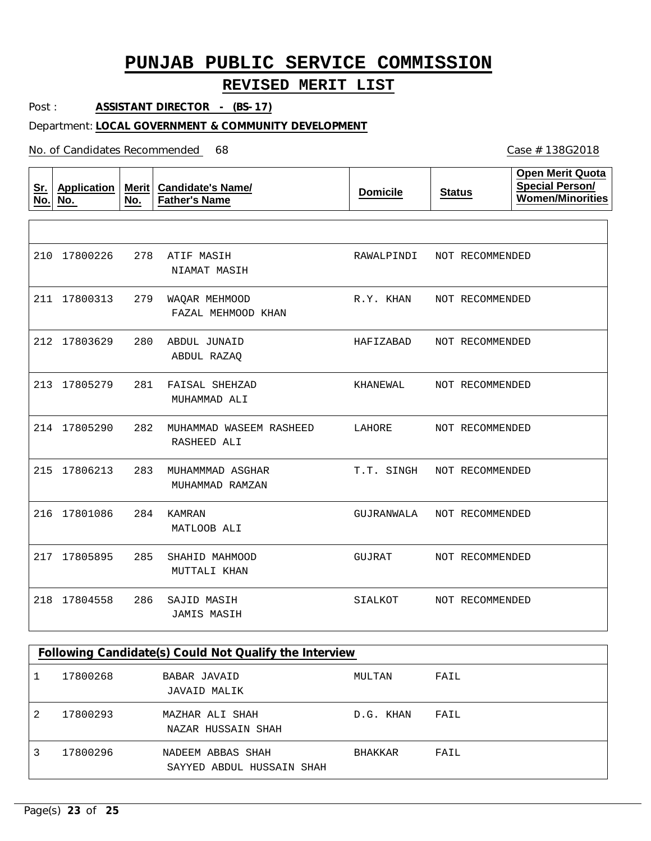## **REVISED MERIT LIST**

Post : **ASSISTANT DIRECTOR - (BS-17)**

#### Department: **LOCAL GOVERNMENT & COMMUNITY DEVELOPMENT**

No. of Candidates Recommended

| <u>Sr.</u><br>No. | <b>Application</b><br>No. | Merit<br>No. | <b>Candidate's Name/</b><br><b>Father's Name</b> | <b>Domicile</b> | <b>Status</b>   | <b>Open Merit Quota</b><br><b>Special Person/</b><br><b>Women/Minorities</b> |
|-------------------|---------------------------|--------------|--------------------------------------------------|-----------------|-----------------|------------------------------------------------------------------------------|
|                   |                           |              |                                                  |                 |                 |                                                                              |
| 210               | 17800226                  | 278          | ATIF MASIH<br>NIAMAT MASIH                       | RAWALPINDI      | NOT RECOMMENDED |                                                                              |
|                   | 211 17800313              | 279          | WAQAR MEHMOOD<br>FAZAL MEHMOOD KHAN              | R.Y. KHAN       | NOT RECOMMENDED |                                                                              |
|                   | 212 17803629              | 280          | ABDUL JUNAID<br>ABDUL RAZAQ                      | HAFIZABAD       | NOT RECOMMENDED |                                                                              |
|                   | 213 17805279              | 281          | FAISAL SHEHZAD<br>MUHAMMAD ALI                   | KHANEWAL        | NOT RECOMMENDED |                                                                              |
|                   | 214 17805290              | 282          | MUHAMMAD WASEEM RASHEED<br>RASHEED ALI           | LAHORE          | NOT RECOMMENDED |                                                                              |
| 215               | 17806213                  | 283          | MUHAMMMAD ASGHAR<br>MUHAMMAD RAMZAN              | T.T. SINGH      | NOT RECOMMENDED |                                                                              |
| 216               | 17801086                  | 284          | <b>KAMRAN</b><br>MATLOOB ALI                     | GUJRANWALA      | NOT RECOMMENDED |                                                                              |
|                   | 217 17805895              | 285          | SHAHID MAHMOOD<br>MUTTALI KHAN                   | GUJRAT          | NOT RECOMMENDED |                                                                              |
| 218               | 17804558                  | 286          | SAJID MASIH<br><b>JAMIS MASIH</b>                | SIALKOT         | NOT RECOMMENDED |                                                                              |

|   | Following Candidate(s) Could Not Qualify the Interview |                                                |                |      |  |  |  |
|---|--------------------------------------------------------|------------------------------------------------|----------------|------|--|--|--|
|   | 17800268                                               | BABAR JAVAID<br>JAVAID MALIK                   | MULTAN         | FAIL |  |  |  |
| 2 | 17800293                                               | MAZHAR ALI SHAH<br>NAZAR HUSSAIN SHAH          | D.G. KHAN      | FAIL |  |  |  |
|   | 17800296                                               | NADEEM ABBAS SHAH<br>SAYYED ABDUL HUSSAIN SHAH | <b>BHAKKAR</b> | FAIL |  |  |  |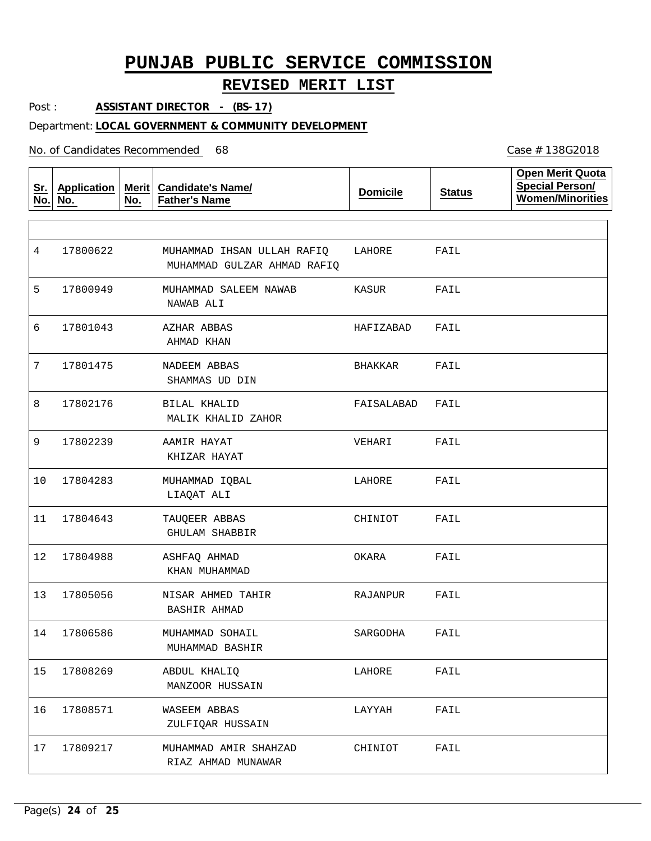### **REVISED MERIT LIST**

Post : **ASSISTANT DIRECTOR - (BS-17)**

#### Department: **LOCAL GOVERNMENT & COMMUNITY DEVELOPMENT**

No. of Candidates Recommended

**Sr. No. Application No. Merit No. Candidate's Name/ Father's Name Domicile Status Open Merit Quota Special Person/ Women/Minorities** MUHAMMAD IHSAN ULLAH RAFIQ MUHAMMAD SALEEM NAWAB AZHAR ABBAS NADEEM ABBAS BILAL KHALID AAMIR HAYAT MUHAMMAD IQBAL TAUQEER ABBAS ASHFAQ AHMAD NISAR AHMED TAHIR MUHAMMAD SOHAIL ABDUL KHALIQ WASEEM ABBAS MUHAMMAD AMIR SHAHZAD MUHAMMAD GULZAR AHMAD RAFIQ NAWAB ALI AHMAD KHAN SHAMMAS UD DIN MALIK KHALID ZAHOR KHIZAR HAYAT LIAQAT ALI GHULAM SHABBIR KHAN MUHAMMAD BASHIR AHMAD MUHAMMAD BASHIR MANZOOR HUSSAIN ZULFIQAR HUSSAIN RIAZ AHMAD MUNAWAR 4 5 6 7 8 9 10 17804283 11 12 17804988 13 17805056 14 17806586 15 16 17808571 17 17809217 17800622 17800949 17801043 17801475 17802176 17802239 17804643 17808269 LAHORE KASUR HAFIZABAD BHAKKAR FAISALABAD VEHARI LAHORE CHINIOT OKARA RAJANPUR SARGODHA LAHORE LAYYAH CHINIOT FAIL FAIL FAIL FAIL FAIL FAIL FAIL FAIL FAIL FAIL FAIL FAIL FAIL FAIL